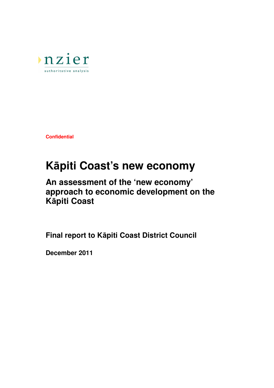

**Confidential** 

# **K**ā**piti Coast's new economy**

## **An assessment of the 'new economy' approach to economic development on the K**ā**piti Coast**

**Final report to K**ā**piti Coast District Council** 

**December 2011**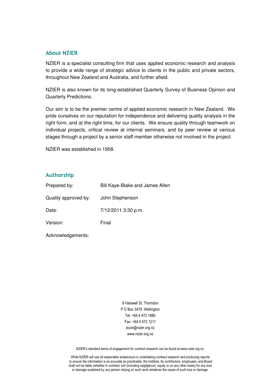#### About NZIER

NZIER is a specialist consulting firm that uses applied economic research and analysis to provide a wide range of strategic advice to clients in the public and private sectors, throughout New Zealand and Australia, and further afield.

NZIER is also known for its long-established Quarterly Survey of Business Opinion and Quarterly Predictions.

Our aim is to be the premier centre of applied economic research in New Zealand. We pride ourselves on our reputation for independence and delivering quality analysis in the right form, and at the right time, for our clients. We ensure quality through teamwork on individual projects, critical review at internal seminars, and by peer review at various stages through a project by a senior staff member otherwise not involved in the project.

NZIER was established in 1958.

#### Authorship

| Prepared by:         | Bill Kaye-Blake and James Allen |
|----------------------|---------------------------------|
| Quality approved by: | John Stephenson                 |
| Date:                | 7/12/2011 3:30 p.m.             |
| Version:             | Final                           |
|                      |                                 |

Acknowledgements:

8 Halswell St, Thorndon P O Box 3479, Wellington Tel: +64 4 472 1880 Fax: +64 4 472 1211 econ@nzier.org.nz www.nzier.org.nz

NZIER's standard terms of engagement for contract research can be found at www.nzier.org.nz.

While NZIER will use all reasonable endeavours in undertaking contract research and producing reports to ensure the information is as accurate as practicable, the Institute, its contributors, employees, and Board shall not be liable (whether in contract, tort (including negligence), equity or on any other basis) for any loss or damage sustained by any person relying on such work whatever the cause of such loss or damage.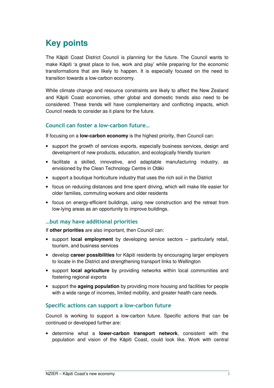## **Key points**

The Kāpiti Coast District Council is planning for the future. The Council wants to make Kāpiti 'a great place to live, work and play' while preparing for the economic transformations that are likely to happen. It is especially focused on the need to transition towards a low-carbon economy.

While climate change and resource constraints are likely to affect the New Zealand and Kāpiti Coast economies, other global and domestic trends also need to be considered. These trends will have complementary and conflicting impacts, which Council needs to consider as it plans for the future.

#### Council can foster a low-carbon future…

If focusing on a **low-carbon economy** is the highest priority, then Council can:

- support the growth of services exports, especially business services, design and development of new products, education, and ecologically friendly tourism
- facilitate a skilled, innovative, and adaptable manufacturing industry, as envisioned by the Clean Technology Centre in Otāki
- support a boutique horticulture industry that uses the rich soil in the District
- focus on reducing distances and time spent driving, which will make life easier for older families, commuting workers and older residents
- focus on energy-efficient buildings, using new construction and the retreat from low-lying areas as an opportunity to improve buildings.

#### …but may have additional priorities

If **other priorities** are also important, then Council can:

- support **local employment** by developing service sectors particularly retail, tourism, and business services
- develop **career possibilities** for Kāpiti residents by encouraging larger employers to locate in the District and strengthening transport links to Wellington
- support **local agriculture** by providing networks within local communities and fostering regional exports
- support the **ageing population** by providing more housing and facilities for people with a wide range of incomes, limited mobility, and greater health care needs.

#### Specific actions can support a low-carbon future

Council is working to support a low-carbon future. Specific actions that can be continued or developed further are:

• determine what a **lower-carbon transport network**, consistent with the population and vision of the Kāpiti Coast, could look like. Work with central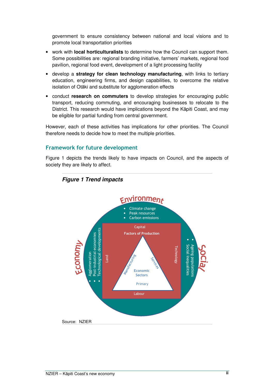government to ensure consistency between national and local visions and to promote local transportation priorities

- work with **local horticulturalists** to determine how the Council can support them. Some possibilities are: regional branding initiative, farmers' markets, regional food pavilion, regional food event, development of a light processing facility
- develop a **strategy for clean technology manufacturing**, with links to tertiary education, engineering firms, and design capabilities, to overcome the relative isolation of Otāki and substitute for agglomeration effects
- conduct **research on commuters** to develop strategies for encouraging public transport, reducing commuting, and encouraging businesses to relocate to the District. This research would have implications beyond the Kāpiti Coast, and may be eligible for partial funding from central government.

However, each of these activities has implications for other priorities. The Council therefore needs to decide how to meet the multiple priorities.

#### Framework for future development

Figure 1 depicts the trends likely to have impacts on Council, and the aspects of society they are likely to affect.



#### **Figure 1 Trend impacts**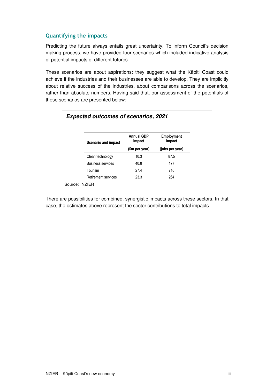#### Quantifying the impacts

Predicting the future always entails great uncertainty. To inform Council's decision making process, we have provided four scenarios which included indicative analysis of potential impacts of different futures.

These scenarios are about aspirations: they suggest what the Kāpiti Coast could achieve if the industries and their businesses are able to develop. They are implicitly about relative success of the industries, about comparisons across the scenarios, rather than absolute numbers. Having said that, our assessment of the potentials of these scenarios are presented below:

| Scenario and impact      | <b>Annual GDP</b><br>impact | <b>Employment</b><br>impact |  |
|--------------------------|-----------------------------|-----------------------------|--|
|                          | (\$m per year)              | (jobs per year)             |  |
| Clean technology         | 10.3                        | 87.5                        |  |
| <b>Business services</b> | 40.8                        | 177                         |  |
| Tourism                  | 27.4                        | 710                         |  |
| Retirement services      | 23.3                        | 264                         |  |
| Source: NZIER            |                             |                             |  |

#### **Expected outcomes of scenarios, 2021**

There are possibilities for combined, synergistic impacts across these sectors. In that case, the estimates above represent the sector contributions to total impacts.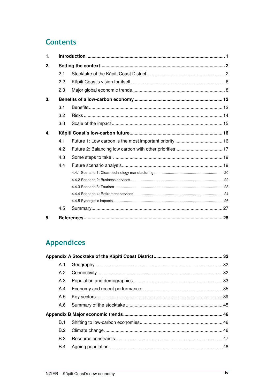## **Contents**

| $\mathbf{1}$ |     |    |
|--------------|-----|----|
| 2.           |     |    |
|              | 2.1 |    |
|              | 2.2 |    |
|              | 2.3 |    |
| 3.           |     |    |
|              | 3.1 |    |
|              | 3.2 |    |
|              | 3.3 |    |
| 4.           |     |    |
|              | 4.1 |    |
|              | 4.2 |    |
|              | 4.3 |    |
|              | 4.4 |    |
|              |     |    |
|              |     |    |
|              |     |    |
|              |     |    |
|              |     |    |
|              | 4.5 |    |
| 5.           |     | 28 |

## **Appendices**

| A.1        |  |
|------------|--|
| A.2        |  |
| A.3        |  |
| A.4        |  |
| A.5        |  |
| A.6        |  |
|            |  |
| B.1        |  |
| B.2        |  |
| <b>B.3</b> |  |
| B.4        |  |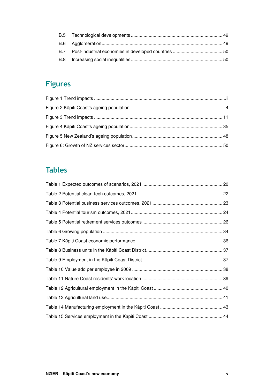## Figures

## Tables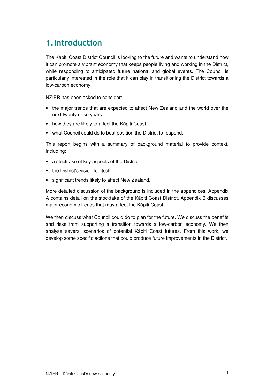## 1.Introduction

The Kāpiti Coast District Council is looking to the future and wants to understand how it can promote a vibrant economy that keeps people living and working in the District, while responding to anticipated future national and global events. The Council is particularly interested in the role that it can play in transitioning the District towards a low-carbon economy.

NZIER has been asked to consider:

- the major trends that are expected to affect New Zealand and the world over the next twenty or so years
- how they are likely to affect the Kāpiti Coast
- what Council could do to best position the District to respond.

This report begins with a summary of background material to provide context, including:

- a stocktake of key aspects of the District
- the District's vision for itself
- significant trends likely to affect New Zealand.

More detailed discussion of the background is included in the appendices. Appendix A contains detail on the stocktake of the Kāpiti Coast District. Appendix B discusses major economic trends that may affect the Kāpiti Coast.

We then discuss what Council could do to plan for the future. We discuss the benefits and risks from supporting a transition towards a low-carbon economy. We then analyse several scenarios of potential Kāpiti Coast futures. From this work, we develop some specific actions that could produce future improvements in the District.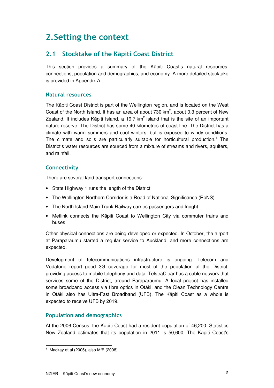## 2.Setting the context

## 2.1 Stocktake of the Kāpiti Coast District

This section provides a summary of the Kāpiti Coast's natural resources, connections, population and demographics, and economy. A more detailed stocktake is provided in Appendix A.

#### Natural resources

The Kāpiti Coast District is part of the Wellington region, and is located on the West Coast of the North Island. It has an area of about 730  $km^2$ , about 0.3 percent of New Zealand. It includes Kāpiti Island, a 19.7  $km^2$  island that is the site of an important nature reserve. The District has some 40 kilometres of coast line. The District has a climate with warm summers and cool winters, but is exposed to windy conditions. The climate and soils are particularly suitable for horticultural production.<sup>1</sup> The District's water resources are sourced from a mixture of streams and rivers, aquifers, and rainfall.

#### **Connectivity**

There are several land transport connections:

- State Highway 1 runs the length of the District
- The Wellington Northern Corridor is a Road of National Significance (RoNS)
- The North Island Main Trunk Railway carries passengers and freight
- Metlink connects the Kāpiti Coast to Wellington City via commuter trains and buses

Other physical connections are being developed or expected. In October, the airport at Paraparaumu started a regular service to Auckland, and more connections are expected.

Development of telecommunications infrastructure is ongoing. Telecom and Vodafone report good 3G coverage for most of the population of the District, providing access to mobile telephony and data. TelstraClear has a cable network that services some of the District, around Paraparaumu. A local project has installed some broadband access via fibre optics in Otāki, and the Clean Technology Centre in Otāki also has Ultra-Fast Broadband (UFB). The Kāpiti Coast as a whole is expected to receive UFB by 2019.

#### Population and demographics

At the 2006 Census, the Kāpiti Coast had a resident population of 46,200. Statistics New Zealand estimates that its population in 2011 is 50,600. The Kāpiti Coast's

 1 Mackay et al (2005), also MfE (2008).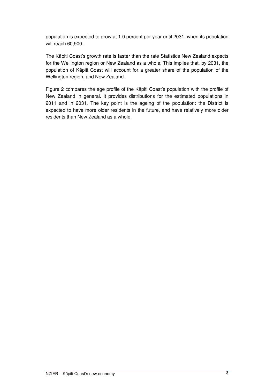population is expected to grow at 1.0 percent per year until 2031, when its population will reach 60,900.

The Kāpiti Coast's growth rate is faster than the rate Statistics New Zealand expects for the Wellington region or New Zealand as a whole. This implies that, by 2031, the population of Kāpiti Coast will account for a greater share of the population of the Wellington region, and New Zealand.

Figure 2 compares the age profile of the Kāpiti Coast's population with the profile of New Zealand in general. It provides distributions for the estimated populations in 2011 and in 2031. The key point is the ageing of the population: the District is expected to have more older residents in the future, and have relatively more older residents than New Zealand as a whole.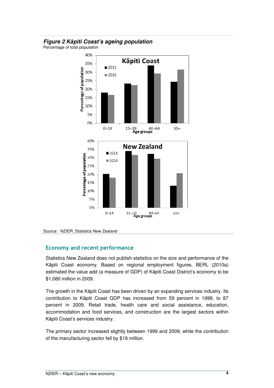#### **Figure 2 K**ā**piti Coast's ageing population**

Percentage of total population



Source: NZIER, Statistics New Zealand

#### Economy and recent performance

Statistics New Zealand does not publish statistics on the size and performance of the Kāpiti Coast economy. Based on regional employment figures, BERL (2010a) estimated the value add (a measure of GDP) of Kāpiti Coast District's economy to be \$1,080 million in 2009.

The growth in the Kāpiti Coast has been driven by an expanding services industry. Its contribution to Kāpiti Coast GDP has increased from 59 percent in 1999, to 87 percent in 2009. Retail trade, health care and social assistance, education, accommodation and food services, and construction are the largest sectors within Kāpiti Coast's services industry.

The primary sector increased slightly between 1999 and 2009, while the contribution of the manufacturing sector fell by \$18 million.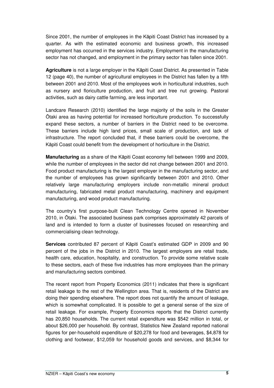Since 2001, the number of employees in the Kāpiti Coast District has increased by a quarter. As with the estimated economic and business growth, this increased employment has occurred in the services industry. Employment in the manufacturing sector has not changed, and employment in the primary sector has fallen since 2001.

**Agriculture** is not a large employer in the Kāpiti Coast District. As presented in Table 12 (page 40), the number of agricultural employees in the District has fallen by a fifth between 2001 and 2010. Most of the employees work in horticultural industries, such as nursery and floriculture production, and fruit and tree nut growing. Pastoral activities, such as dairy cattle farming, are less important.

Landcare Research (2010) identified the large majority of the soils in the Greater Ōtaki area as having potential for increased horticulture production. To successfully expand these sectors, a number of barriers in the District need to be overcome. These barriers include high land prices, small scale of production, and lack of infrastructure. The report concluded that, if these barriers could be overcome, the Kāpiti Coast could benefit from the development of horticulture in the District.

**Manufacturing** as a share of the Kāpiti Coast economy fell between 1999 and 2009, while the number of employees in the sector did not change between 2001 and 2010. Food product manufacturing is the largest employer in the manufacturing sector, and the number of employees has grown significantly between 2001 and 2010. Other relatively large manufacturing employers include non-metallic mineral product manufacturing, fabricated metal product manufacturing, machinery and equipment manufacturing, and wood product manufacturing.

The country's first purpose-built Clean Technology Centre opened in November 2010, in Ōtaki. The associated business park comprises approximately 42 parcels of land and is intended to form a cluster of businesses focused on researching and commercialising clean technology.

**Services** contributed 87 percent of Kāpiti Coast's estimated GDP in 2009 and 90 percent of the jobs in the District in 2010. The largest employers are retail trade, health care, education, hospitality, and construction. To provide some relative scale to these sectors, each of these five industries has more employees than the primary and manufacturing sectors combined.

The recent report from Property Economics (2011) indicates that there is significant retail leakage to the rest of the Wellington area. That is, residents of the District are doing their spending elsewhere. The report does not quantify the amount of leakage, which is somewhat complicated. It is possible to get a general sense of the size of retail leakage. For example, Property Economics reports that the District currently has 20,850 households. The current retail expenditure was \$542 million in total, or about \$26,000 per household. By contrast, Statistics New Zealand reported national figures for per-household expenditure of \$20,278 for food and beverages, \$4,878 for clothing and footwear, \$12,059 for household goods and services, and \$8,344 for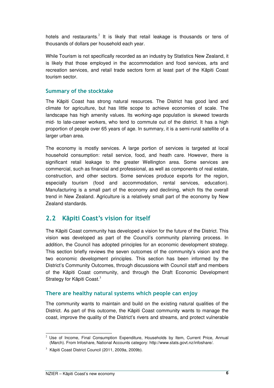hotels and restaurants.<sup>2</sup> It is likely that retail leakage is thousands or tens of thousands of dollars per household each year.

While Tourism is not specifically recorded as an industry by Statistics New Zealand, it is likely that those employed in the accommodation and food services, arts and recreation services, and retail trade sectors form at least part of the Kāpiti Coast tourism sector.

#### Summary of the stocktake

The Kāpiti Coast has strong natural resources. The District has good land and climate for agriculture, but has little scope to achieve economies of scale. The landscape has high amenity values. Its working-age population is skewed towards mid- to late-career workers, who tend to commute out of the district. It has a high proportion of people over 65 years of age. In summary, it is a semi-rural satellite of a larger urban area.

The economy is mostly services. A large portion of services is targeted at local household consumption: retail service, food, and heath care. However, there is significant retail leakage to the greater Wellington area. Some services are commercial, such as financial and professional, as well as components of real estate, construction, and other sectors. Some services produce exports for the region, especially tourism (food and accommodation, rental services, education). Manufacturing is a small part of the economy and declining, which fits the overall trend in New Zealand. Agriculture is a relatively small part of the economy by New Zealand standards.

### 2.2 Kāpiti Coast's vision for itself

The Kāpiti Coast community has developed a vision for the future of the District. This vision was developed as part of the Council's community planning process. In addition, the Council has adopted principles for an economic development strategy. This section briefly reviews the seven outcomes of the community's vision and the two economic development principles. This section has been informed by the District's Community Outcomes, through discussions with Council staff and members of the Kāpiti Coast community, and through the Draft Economic Development Strategy for Kāpiti Coast.<sup>3</sup>

#### There are healthy natural systems which people can enjoy

The community wants to maintain and build on the existing natural qualities of the District. As part of this outcome, the Kāpiti Coast community wants to manage the coast, improve the quality of the District's rivers and streams, and protect vulnerable

 $\overline{a}$ 2 Use of Income, Final Consumption Expenditure, Households by Item, Current Price, Annual (March). From Infoshare, National Accounts category: http://www.stats.govt.nz/infoshare/.

<sup>&</sup>lt;sup>3</sup> Kāpiti Coast District Council (2011, 2009a, 2009b).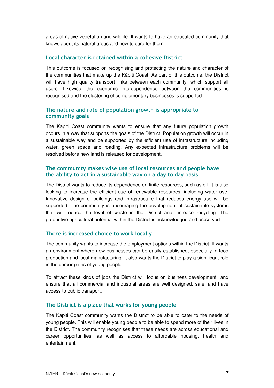areas of native vegetation and wildlife. It wants to have an educated community that knows about its natural areas and how to care for them.

#### Local character is retained within a cohesive District

This outcome is focused on recognising and protecting the nature and character of the communities that make up the Kāpiti Coast. As part of this outcome, the District will have high quality transport links between each community, which support all users. Likewise, the economic interdependence between the communities is recognised and the clustering of complementary businesses is supported.

#### The nature and rate of population growth is appropriate to community goals

The Kāpiti Coast community wants to ensure that any future population growth occurs in a way that supports the goals of the District. Population growth will occur in a sustainable way and be supported by the efficient use of infrastructure including water, green space and roading. Any expected infrastructure problems will be resolved before new land is released for development.

#### The community makes wise use of local resources and people have the ability to act in a sustainable way on a day to day basis

The District wants to reduce its dependence on finite resources, such as oil. It is also looking to increase the efficient use of renewable resources, including water use. Innovative design of buildings and infrastructure that reduces energy use will be supported. The community is encouraging the development of sustainable systems that will reduce the level of waste in the District and increase recycling. The productive agricultural potential within the District is acknowledged and preserved.

#### There is increased choice to work locally

The community wants to increase the employment options within the District. It wants an environment where new businesses can be easily established, especially in food production and local manufacturing. It also wants the District to play a significant role in the career paths of young people.

To attract these kinds of jobs the District will focus on business development and ensure that all commercial and industrial areas are well designed, safe, and have access to public transport.

#### The District is a place that works for young people

The Kāpiti Coast community wants the District to be able to cater to the needs of young people. This will enable young people to be able to spend more of their lives in the District. The community recognises that these needs are across educational and career opportunities, as well as access to affordable housing, health and entertainment.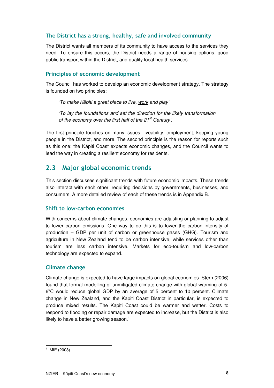#### The District has a strong, healthy, safe and involved community

The District wants all members of its community to have access to the services they need. To ensure this occurs, the District needs a range of housing options, good public transport within the District, and quality local health services.

#### Principles of economic development

The Council has worked to develop an economic development strategy. The strategy is founded on two principles:

'To make Kāpiti a great place to live, work and play'

'To lay the foundations and set the direction for the likely transformation of the economy over the first half of the  $21<sup>st</sup>$  Century'.

The first principle touches on many issues: liveability, employment, keeping young people in the District, and more. The second principle is the reason for reports such as this one: the Kāpiti Coast expects economic changes, and the Council wants to lead the way in creating a resilient economy for residents.

## 2.3 Major global economic trends

This section discusses significant trends with future economic impacts. These trends also interact with each other, requiring decisions by governments, businesses, and consumers. A more detailed review of each of these trends is in Appendix B.

#### Shift to low-carbon economies

With concerns about climate changes, economies are adjusting or planning to adjust to lower carbon emissions. One way to do this is to lower the carbon intensity of production – GDP per unit of carbon or greenhouse gases (GHG). Tourism and agriculture in New Zealand tend to be carbon intensive, while services other than tourism are less carbon intensive. Markets for eco-tourism and low-carbon technology are expected to expand.

#### Climate change

Climate change is expected to have large impacts on global economies. Stern (2006) found that formal modelling of unmitigated climate change with global warming of 5- 6°C would reduce global GDP by an average of 5 percent to 10 percent. Climate change in New Zealand, and the Kāpiti Coast District in particular, is expected to produce mixed results. The Kāpiti Coast could be warmer and wetter. Costs to respond to flooding or repair damage are expected to increase, but the District is also likely to have a better growing season. $4$ 

 4 MfE (2008).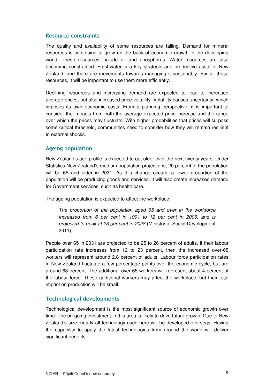#### Resource constraints

The quality and availability of some resources are falling. Demand for mineral resources is continuing to grow on the back of economic growth in the developing world. These resources include oil and phosphorus. Water resources are also becoming constrained. Freshwater is a key strategic and productive asset of New Zealand, and there are movements towards managing it sustainably. For all these resources, it will be important to use them more efficiently.

Declining resources and increasing demand are expected to lead to increased average prices, but also increased price volatility. Volatility causes uncertainty, which imposes its own economic costs. From a planning perspective, it is important to consider the impacts from both the average expected price increase and the range over which the prices may fluctuate. With higher probabilities that prices will surpass some critical threshold, communities need to consider how they will remain resilient to external shocks.

#### Ageing population

New Zealand's age profile is expected to get older over the next twenty years. Under Statistics New Zealand's medium population projections, 20 percent of the population will be 65 and older in 2031. As this change occurs, a lower proportion of the population will be producing goods and services. It will also create increased demand for Government services, such as health care.

The ageing population is expected to affect the workplace:

The proportion of the population aged 65 and over in the workforce increased from 6 per cent in 1991 to 12 per cent in 2006, and is projected to peak at 23 per cent in 2028 (Ministry of Social Development 2011).

People over 65 in 2031 are projected to be 25 to 26 percent of adults. If their labour participation rate increases from 12 to 23 percent, then the increased over-65 workers will represent around 2.8 percent of adults. Labour force participation rates in New Zealand fluctuate a few percentage points over the economic cycle, but are around 68 percent. The additional over-65 workers will represent about 4 percent of the labour force. These additional workers may affect the workplace, but their total impact on production will be small.

#### Technological developments

Technological development is the most significant source of economic growth over time. The on-going investment in this area is likely to drive future growth. Due to New Zealand's size, nearly all technology used here will be developed overseas. Having the capability to apply the latest technologies from around the world will deliver significant benefits.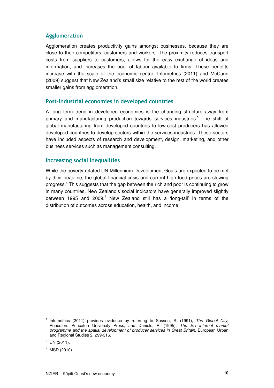#### Agglomeration

Agglomeration creates productivity gains amongst businesses, because they are close to their competitors, customers and workers. The proximity reduces transport costs from suppliers to customers, allows for the easy exchange of ideas and information, and increases the pool of labour available to firms. These benefits increase with the scale of the economic centre. Infometrics (2011) and McCann (2009) suggest that New Zealand's small size relative to the rest of the world creates smaller gains from agglomeration.

#### Post-industrial economies in developed countries

A long term trend in developed economies is the changing structure away from primary and manufacturing production towards services industries.<sup>5</sup> The shift of global manufacturing from developed countries to low-cost producers has allowed developed countries to develop sectors within the services industries. These sectors have included aspects of research and development, design, marketing, and other business services such as management consulting.

#### Increasing social inequalities

While the poverty-related UN Millennium Development Goals are expected to be met by their deadline, the global financial crisis and current high food prices are slowing progress.<sup>6</sup> This suggests that the gap between the rich and poor is continuing to grow in many countries. New Zealand's social indicators have generally improved slightly between 1995 and 2009.<sup>7</sup> New Zealand still has a 'long-tail' in terms of the distribution of outcomes across education, health, and income.

 $\overline{a}$ 5 Infometrics (2011) provides evidence by referring to Sassen, S. (1991), The Global City, Princeton: Princeton University Press, and Daniels, P. (1995), The EU internal market programme and the spatial development of producer services in Great Britain, European Urban and Regional Studies 2, 299-316.

 $6$  UN (2011).

 $7$  MSD (2010).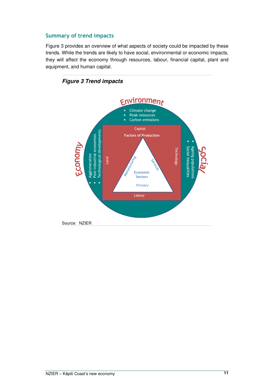#### Summary of trend impacts

Figure 3 provides an overview of what aspects of society could be impacted by these trends. While the trends are likely to have social, environmental or economic impacts, they will affect the economy through resources, labour, financial capital, plant and equipment, and human capital.

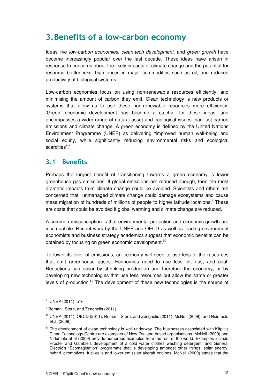## 3.Benefits of a low-carbon economy

Ideas like low-carbon economies, clean-tech development, and green growth have become increasingly popular over the last decade. These ideas have arisen in response to concerns about the likely impacts of climate change and the potential for resource bottlenecks, high prices in major commodities such as oil, and reduced productivity of biological systems.

Low-carbon economies focus on using non-renewable resources efficiently, and minimising the amount of carbon they emit. Clean technology is new products or systems that allow us to use these non-renewable resources more efficiently. 'Green' economic development has become a catchall for these ideas, and encompasses a wider range of natural asset and ecological issues than just carbon emissions and climate change. A green economy is defined by the United Nations Environment Programme (UNEP) as delivering "improved human well-being and social equity, while significantly reducing environmental risks and ecological scarcities".<sup>8</sup>

### 3.1 Benefits

Perhaps the largest benefit of transitioning towards a green economy is lower greenhouse gas emissions. If global emissions are reduced enough, then the most dramatic impacts from climate change could be avoided. Scientists and others are concerned that unmanaged climate change could damage ecosystems and cause mass migration of hundreds of millions of people to higher latitude locations. $9$  These are costs that could be avoided if global warming and climate change are reduced.

A common misconception is that environmental protection and economic growth are incompatible. Recent work by the UNEP and OECD as well as leading environment economists and business strategy academics suggest that economic benefits can be obtained by focusing on green economic development. $10$ 

To lower its level of emissions, an economy will need to use less of the resources that emit greenhouse gases. Economies need to use less oil, gas, and coal. Reductions can occur by shrinking production and therefore the economy, or by developing new technologies that use less resources but allow the same or greater levels of production.<sup>11</sup> The development of these new technologies is the source of

 $\overline{a}$ 8 UNEP (2011), p16.

<sup>&</sup>lt;sup>9</sup> Romani, Stern, and Zenghelis (2011).

 $10$  UNEP (2011), OECD (2011), Romani, Stern, and Zenghelis (2011), McNeil (2009), and Nidumolu et al (2009).

 $11$  The development of clean technology is well underway. The businesses associated with Kāpiti's Clean Technology Centre are examples of New Zealand-based organisations. McNeil (2009) and Nidumolu et al (2009) provide numerous examples from the rest of the world. Examples include Procter and Gamble's development of a cold water clothes washing detergent, and General Electric's "Ecomagination" programme that is developing amongst other things, solar energy, hybrid locomotives, fuel cells and lower-emission aircraft engines. McNeil (2009) states that the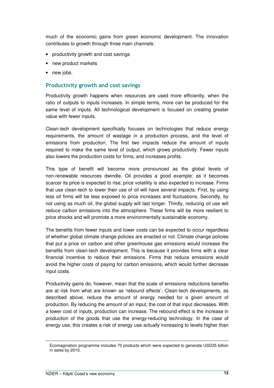much of the economic gains from green economic development. The innovation contributes to growth through three main channels:

- productivity growth and cost savings
- new product markets
- new jobs.

#### Productivity growth and cost savings

Productivity growth happens when resources are used more efficiently, when the ratio of outputs to inputs increases. In simple terms, more can be produced for the same level of inputs. All technological development is focused on creating greater value with fewer inputs.

Clean-tech development specifically focuses on technologies that reduce energy requirements, the amount of wastage in a production process, and the level of emissions from production. The first two impacts reduce the amount of inputs required to make the same level of output, which grows productivity. Fewer inputs also lowers the production costs for firms, and increases profits.

This type of benefit will become more pronounced as the global levels of non-renewable resources dwindle. Oil provides a good example: as it becomes scarcer its price is expected to rise; price volatility is also expected to increase. Firms that use clean-tech to lower their use of oil will have several impacts. First, by using less oil firms will be less exposed to price increases and fluctuations. Secondly, by not using as much oil, the global supply will last longer. Thirdly, reducing oil use will reduce carbon emissions into the atmosphere. These firms will be more resilient to price shocks and will promote a more environmentally sustainable economy.

The benefits from fewer inputs and lower costs can be expected to occur regardless of whether global climate change policies are enacted or not. Climate change policies that put a price on carbon and other greenhouse gas emissions would increase the benefits from clean-tech development. This is because it provides firms with a clear financial incentive to reduce their emissions. Firms that reduce emissions would avoid the higher costs of paying for carbon emissions, which would further decrease input costs.

Productivity gains do, however, mean that the scale of emissions reductions benefits are at risk from what are known as 'rebound effects'. Clean-tech developments, as described above, reduce the amount of energy needed for a given amount of production. By reducing the amount of an input, the cost of that input decreases. With a lower cost of inputs, production can increase. The rebound effect is the increase in production of the goods that use the energy-reducing technology. In the case of energy use, this creates a risk of energy use actually increasing to levels higher than

Ecomagination programme includes 70 products which were expected to generate USD25 billion in sales by 2010.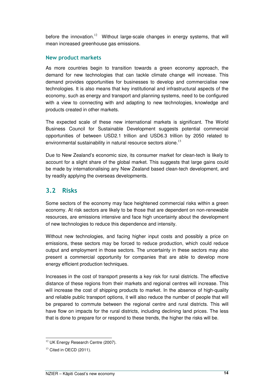before the innovation.<sup>12</sup> Without large-scale changes in energy systems, that will mean increased greenhouse gas emissions.

#### New product markets

As more countries begin to transition towards a green economy approach, the demand for new technologies that can tackle climate change will increase. This demand provides opportunities for businesses to develop and commercialise new technologies. It is also means that key institutional and infrastructural aspects of the economy, such as energy and transport and planning systems, need to be configured with a view to connecting with and adapting to new technologies, knowledge and products created in other markets.

The expected scale of these new international markets is significant. The World Business Council for Sustainable Development suggests potential commercial opportunities of between USD2.1 trillion and USD6.3 trillion by 2050 related to environmental sustainability in natural resource sectors alone. $^{13}$ 

Due to New Zealand's economic size, its consumer market for clean-tech is likely to account for a slight share of the global market. This suggests that large gains could be made by internationalising any New Zealand based clean-tech development, and by readily applying the overseas developments.

## 3.2 Risks

Some sectors of the economy may face heightened commercial risks within a green economy. At risk sectors are likely to be those that are dependent on non-renewable resources, are emissions intensive and face high uncertainty about the development of new technologies to reduce this dependence and intensity.

Without new technologies, and facing higher input costs and possibly a price on emissions, these sectors may be forced to reduce production, which could reduce output and employment in those sectors. The uncertainty in these sectors may also present a commercial opportunity for companies that are able to develop more energy efficient production techniques.

Increases in the cost of transport presents a key risk for rural districts. The effective distance of these regions from their markets and regional centres will increase. This will increase the cost of shipping products to market. In the absence of high-quality and reliable public transport options, it will also reduce the number of people that will be prepared to commute between the regional centre and rural districts. This will have flow on impacts for the rural districts, including declining land prices. The less that is done to prepare for or respond to these trends, the higher the risks will be.

 $\overline{a}$ <sup>12</sup> UK Energy Research Centre (2007).

 $13$  Cited in OECD (2011).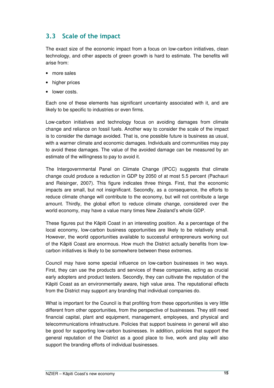## 3.3 Scale of the impact

The exact size of the economic impact from a focus on low-carbon initiatives, clean technology, and other aspects of green growth is hard to estimate. The benefits will arise from:

- more sales
- higher prices
- lower costs.

Each one of these elements has significant uncertainty associated with it, and are likely to be specific to industries or even firms.

Low-carbon initiatives and technology focus on avoiding damages from climate change and reliance on fossil fuels. Another way to consider the scale of the impact is to consider the damage avoided. That is, one possible future is business as usual, with a warmer climate and economic damages. Individuals and communities may pay to avoid these damages. The value of the avoided damage can be measured by an estimate of the willingness to pay to avoid it.

The Intergovernmental Panel on Climate Change (IPCC) suggests that climate change could produce a reduction in GDP by 2050 of at most 5.5 percent (Pachauri and Reisinger, 2007). This figure indicates three things. First, that the economic impacts are small, but not insignificant. Secondly, as a consequence, the efforts to reduce climate change will contribute to the economy, but will not contribute a large amount. Thirdly, the global effort to reduce climate change, considered over the world economy, may have a value many times New Zealand's whole GDP.

These figures put the Kāpiti Coast in an interesting position. As a percentage of the local economy, low-carbon business opportunities are likely to be relatively small. However, the world opportunities available to successful entrepreneurs working out of the Kāpiti Coast are enormous. How much the District actually benefits from lowcarbon initiatives is likely to be somewhere between these extremes.

Council may have some special influence on low-carbon businesses in two ways. First, they can use the products and services of these companies, acting as crucial early adopters and product testers. Secondly, they can cultivate the reputation of the Kāpiti Coast as an environmentally aware, high value area. The reputational effects from the District may support any branding that individual companies do.

What is important for the Council is that profiting from these opportunities is very little different from other opportunities, from the perspective of businesses. They still need financial capital, plant and equipment, management, employees, and physical and telecommunications infrastructure. Policies that support business in general will also be good for supporting low-carbon businesses. In addition, policies that support the general reputation of the District as a good place to live, work and play will also support the branding efforts of individual businesses.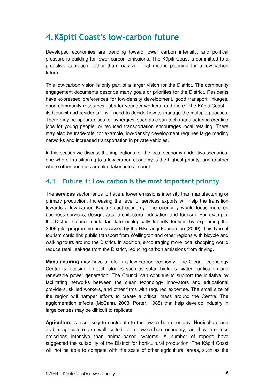## 4.Kāpiti Coast's low-carbon future

Developed economies are trending toward lower carbon intensity, and political pressure is building for lower carbon emissions. The Kāpiti Coast is committed to a proactive approach, rather than reactive. That means planning for a low-carbon future.

This low-carbon vision is only part of a larger vision for the District. The community engagement documents describe many goals or priorities for the District. Residents have expressed preferences for low-density development, good transport linkages, good community resources, jobs for younger workers, and more. The Kāpiti Coast – its Council and residents – will need to decide how to manage the multiple priorities. There may be opportunities for synergies, such as clean-tech manufacturing creating jobs for young people, or reduced transportation encourages local retailing. There may also be trade-offs: for example, low-density development requires large roading networks and increased transportation in private vehicles.

In this section we discuss the implications for the local economy under two scenarios, one where transitioning to a low-carbon economy is the highest priority, and another where other priorities are also taken into account.

## 4.1 Future 1: Low carbon is the most important priority

The **services** sector tends to have a lower emissions intensity than manufacturing or primary production. Increasing the level of services exports will help the transition towards a low-carbon Kāpiti Coast economy. The economy would focus more on business services, design, arts, architecture, education and tourism. For example, the District Council could facilitate ecologically friendly tourism by expanding the 2009 pilot programme as discussed by the Hikurangi Foundation (2009). This type of tourism could link public transport from Wellington and other regions with bicycle and walking tours around the District. In addition, encouraging more local shopping would reduce retail leakage from the District, reducing carbon emissions from driving.

**Manufacturing** may have a role in a low-carbon economy. The Clean Technology Centre is focusing on technologies such as solar, biofuels, water purification and renewable power generation. The Council can continue to support the initiative by facilitating networks between the clean technology innovators and educational providers, skilled workers, and other firms with required expertise. The small size of the region will hamper efforts to create a critical mass around the Centre. The agglomeration effects (McCann, 2003; Porter, 1985) that help develop industry in large centres may be difficult to replicate.

**Agriculture** is also likely to contribute to the low-carbon economy. Horticulture and arable agriculture are well suited to a low-carbon economy, as they are less emissions intensive than animal-based systems. A number of reports have suggested the suitability of the District for horticultural production. The Kāpiti Coast will not be able to compete with the scale of other agricultural areas, such as the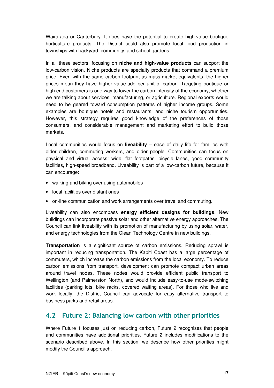Wairarapa or Canterbury. It does have the potential to create high-value boutique horticulture products. The District could also promote local food production in townships with backyard, community, and school gardens.

In all these sectors, focusing on **niche and high-value products** can support the low-carbon vision. Niche products are specialty products that command a premium price. Even with the same carbon footprint as mass-market equivalents, the higher prices mean they have higher value-add per unit of carbon. Targeting boutique or high end customers is one way to lower the carbon intensity of the economy, whether we are talking about services, manufacturing, or agriculture. Regional exports would need to be geared toward consumption patterns of higher income groups. Some examples are boutique hotels and restaurants, and niche tourism opportunities. However, this strategy requires good knowledge of the preferences of those consumers, and considerable management and marketing effort to build those markets.

Local communities would focus on **liveability** – ease of daily life for families with older children, commuting workers, and older people. Communities can focus on physical and virtual access: wide, flat footpaths, bicycle lanes, good community facilities, high-speed broadband. Liveability is part of a low-carbon future, because it can encourage:

- walking and biking over using automobiles
- local facilities over distant ones
- on-line communication and work arrangements over travel and commuting.

Liveability can also encompass **energy efficient designs for buildings**. New buildings can incorporate passive solar and other alternative energy approaches. The Council can link liveability with its promotion of manufacturing by using solar, water, and energy technologies from the Clean Technology Centre in new buildings.

**Transportation** is a significant source of carbon emissions. Reducing sprawl is important in reducing transportation. The Kāpiti Coast has a large percentage of commuters, which increase the carbon emissions from the local economy. To reduce carbon emissions from transport, development can promote compact urban areas around travel nodes. These nodes would provide efficient public transport to Wellington (and Palmerston North), and would include easy-to-use mode-switching facilities (parking lots, bike racks, covered waiting areas). For those who live and work locally, the District Council can advocate for easy alternative transport to business parks and retail areas.

### 4.2 Future 2: Balancing low carbon with other priorities

Where Future 1 focuses just on reducing carbon, Future 2 recognises that people and communities have additional priorities. Future 2 includes modifications to the scenario described above. In this section, we describe how other priorities might modify the Council's approach.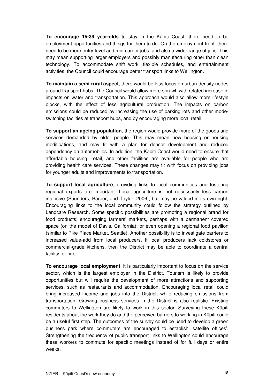**To encourage 15-39 year-olds** to stay in the Kāpiti Coast, there need to be employment opportunities and things for them to do. On the employment front, there need to be more entry-level and mid-career jobs, and also a wider range of jobs. This may mean supporting larger employers and possibly manufacturing other than clean technology. To accommodate shift work, flexible schedules, and entertainment activities, the Council could encourage better transport links to Wellington.

**To maintain a semi-rural aspect**, there would be less focus on urban-density nodes around transport hubs. The Council would allow more sprawl, with related increase in impacts on water and transportation. This approach would also allow more lifestyle blocks, with the effect of less agricultural production. The impacts on carbon emissions could be reduced by increasing the use of parking lots and other modeswitching facilties at transport hubs, and by encouraging more local retail.

**To support an ageing population**, the region would provide more of the goods and services demanded by older people. This may mean new housing or housing modifications, and may fit with a plan for denser development and reduced dependency on automobiles. In addition, the Kāpiti Coast would need to ensure that affordable housing, retail, and other facilities are available for people who are providing health care services. These changes may fit with focus on providing jobs for younger adults and improvements to transportation.

**To support local agriculture**, providing links to local communities and fostering regional exports are important. Local agriculture is not necessarily less carbon intensive (Saunders, Barber, and Taylor, 2006), but may be valued in its own right. Encouraging links to the local community could follow the strategy outlined by Landcare Research. Some specific possibilities are promoting a regional brand for food products; encouraging farmers' markets, perhaps with a permanent covered space (on the model of Davis, California); or even opening a regional food pavilion (similar to Pike Place Market, Seattle). Another possibility is to investigate barriers to increased value-add from local producers. If local producers lack coldstores or commercial-grade kitchens, then the District may be able to coordinate a central facility for hire.

**To encourage local employment**, it is particularly important to focus on the service sector, which is the largest employer in the District. Tourism is likely to provide opportunities but will require the development of more attractions and supporting services, such as restaurants and accommodation. Encouraging local retail could bring increased income and jobs into the District, while reducing emissions from transportation. Growing business services in the District is also realistic. Existing commuters to Wellington are likely to work in this sector. Surveying these Kāpiti residents about the work they do and the perceived barriers to working in Kāpiti could be a useful first step. The outcomes of the survey could be used to develop a green business park where commuters are encouraged to establish 'satellite offices'. Strengthening the frequency of public transport links to Wellington could encourage these workers to commute for specific meetings instead of for full days or entire weeks.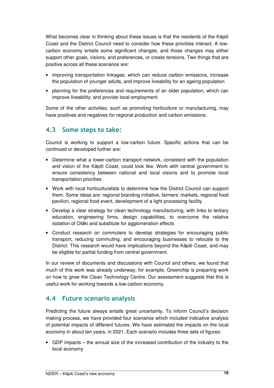What becomes clear in thinking about these issues is that the residents of the Kāpiti Coast and the District Council need to consider how these priorities interact. A lowcarbon economy entails some significant changes, and those changes may either support other goals, visions, and preferences, or create tensions. Two things that are positive across all these scenarios are:

- improving transportation linkages, which can reduce carbon emissions, increase the population of younger adults, and improve liveability for an ageing population
- planning for the preferences and requirements of an older population, which can improve liveability, and provide local employment.

Some of the other activities, such as promoting horticulture or manufacturing, may have positives and negatives for regional production and carbon emissions.

## 4.3 Some steps to take:

Council is working to support a low-carbon future. Specific actions that can be continued or developed further are:

- Determine what a lower-carbon transport network, consistent with the population and vision of the Kāpiti Coast, could look like. Work with central government to ensure consistency between national and local visions and to promote local transportation priorities
- Work with local horticulturalists to determine how the District Council can support them. Some ideas are: regional branding initiative, farmers' markets, regional food pavilion, regional food event, development of a light processing facility
- Develop a clear strategy for clean technology manufacturing, with links to tertiary education, engineering firms, design capabilities, to overcome the relative isolation of Otāki and substitute for agglomeration effects
- Conduct research on commuters to develop strategies for encouraging public transport, reducing commuting, and encouraging businesses to relocate to the District. This research would have implications beyond the Kāpiti Coast, and may be eligible for partial funding from central government.

In our review of documents and discussions with Council and others, we found that much of this work was already underway; for example, Greenchip is preparing work on how to grow the Clean Technology Centre. Our assessment suggests that this is useful work for working towards a low-carbon economy.

### 4.4 Future scenario analysis

Predicting the future always entails great uncertainty. To inform Council's decision making process, we have provided four scenarios which included indicative analysis of potential impacts of different futures. We have estimated the impacts on the local economy in about ten years, in 2021. Each scenario includes three sets of figures:

• GDP impacts – the annual size of the increased contribution of the industry to the local economy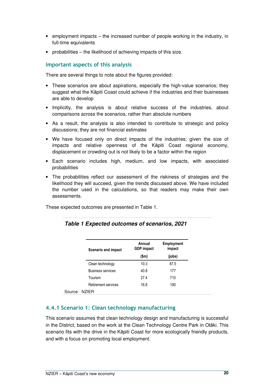- employment impacts the increased number of people working in the industry, in full-time equivalents
- probabilities the likelihood of achieving impacts of this size.

#### Important aspects of this analysis

There are several things to note about the figures provided:

- These scenarios are about aspirations, especially the high-value scenarios; they suggest what the Kāpiti Coast could achieve if the industries and their businesses are able to develop
- Implicitly, the analysis is about relative success of the industries, about comparisons across the scenarios, rather than absolute numbers
- As a result, the analysis is also intended to contribute to strategic and policy discussions; they are not financial estimates
- We have focused only on direct impacts of the industries; given the size of impacts and relative openness of the Kāpiti Coast regional economy, displacement or crowding out is not likely to be a factor within the region
- Each scenario includes high, medium, and low impacts, with associated probabilities
- The probabilities reflect our assessment of the riskiness of strategies and the likelihood they will succeed, given the trends discussed above. We have included the number used in the calculations, so that readers may make their own assessments.

These expected outcomes are presented in Table 1.

| Scenario and impact      | Annual<br><b>GDP</b> impact | <b>Employment</b><br>impact |
|--------------------------|-----------------------------|-----------------------------|
|                          | \$m\$                       | (jobs)                      |
| Clean technology         | 10.3                        | 87.5                        |
| <b>Business services</b> | 40.8                        | 177                         |
| Tourism                  | 27.4                        | 710                         |
| Retirement services      | 16.8                        | 190                         |
| NZIER                    |                             |                             |

#### **Table 1 Expected outcomes of scenarios, 2021**

#### 4.4.1 Scenario 1: Clean technology manufacturing

This scenario assumes that clean technology design and manufacturing is successful in the District, based on the work at the Clean Technology Centre Park in Otāki. This scenario fits with the drive in the Kāpiti Coast for more ecologically friendly products, and with a focus on promoting local employment.

Source: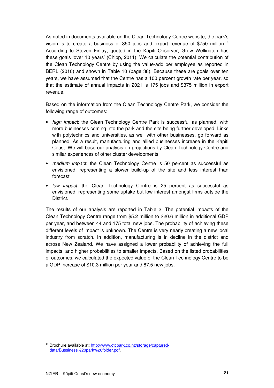As noted in documents available on the Clean Technology Centre website, the park's vision is to create a business of 350 jobs and export revenue of \$750 million.<sup>14</sup> According to Steven Finlay, quoted in the Kāpiti Observer, Grow Wellington has these goals 'over 10 years' (Chipp, 2011). We calculate the potential contribution of the Clean Technology Centre by using the value-add per employee as reported in BERL (2010) and shown in Table 10 (page 38). Because these are goals over ten years, we have assumed that the Centre has a 100 percent growth rate per year, so that the estimate of annual impacts in 2021 is 175 jobs and \$375 million in export revenue.

Based on the information from the Clean Technology Centre Park, we consider the following range of outcomes:

- high impact: the Clean Technology Centre Park is successful as planned, with more businesses coming into the park and the site being further developed. Links with polytechnics and universities, as well with other businesses, go forward as planned. As a result, manufacturing and allied businesses increase in the Kāpiti Coast. We will base our analysis on projections by Clean Technology Centre and similar experiences of other cluster developments
- medium impact: the Clean Technology Centre is 50 percent as successful as envisioned, representing a slower build-up of the site and less interest than forecast
- low impact: the Clean Technology Centre is 25 percent as successful as envisioned, representing some uptake but low interest amongst firms outside the District.

The results of our analysis are reported in Table 2. The potential impacts of the Clean Technology Centre range from \$5.2 million to \$20.6 million in additional GDP per year, and between 44 and 175 total new jobs. The probability of achieving these different levels of impact is unknown. The Centre is very nearly creating a new local industry from scratch. In addition, manufacturing is in decline in the district and across New Zealand. We have assigned a lower probability of achieving the full impacts, and higher probabilities to smaller impacts. Based on the listed probabilities of outcomes, we calculated the expected value of the Clean Technology Centre to be a GDP increase of \$10.3 million per year and 87.5 new jobs.

 $\overline{a}$ <sup>14</sup> Brochure available at: http://www.ctcpark.co.nz/storage/captureddata/Bussiness%20park%20folder.pdf.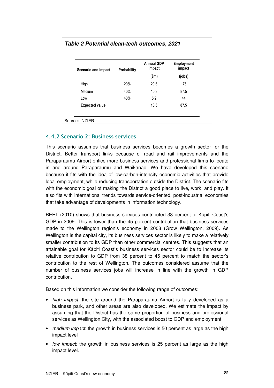| Scenario and impact   | Probability | <b>Annual GDP</b><br>impact | <b>Employment</b><br>impact |  |
|-----------------------|-------------|-----------------------------|-----------------------------|--|
|                       |             | $(\mathsf{Sm})$             | (jobs)                      |  |
| High                  | 20%         | 20.6                        | 175                         |  |
| Medium                | 40%         | 10.3                        | 87.5                        |  |
| Low                   | 40%         | 5.2                         | 44                          |  |
| <b>Expected value</b> |             | 10.3                        | 87.5                        |  |

#### **Table 2 Potential clean-tech outcomes, 2021**

Source: NZIER

#### 4.4.2 Scenario 2: Business services

This scenario assumes that business services becomes a growth sector for the District. Better transport links because of road and rail improvements and the Paraparaumu Airport entice more business services and professional firms to locate in and around Paraparaumu and Waikanae. We have developed this scenario because it fits with the idea of low-carbon-intensity economic activities that provide local employment, while reducing transportation outside the District. The scenario fits with the economic goal of making the District a good place to live, work, and play. It also fits with international trends towards service-oriented, post-industrial economies that take advantage of developments in information technology.

BERL (2010) shows that business services contributed 38 percent of Kāpiti Coast's GDP in 2009. This is lower than the 45 percent contribution that business services made to the Wellington region's economy in 2008 (Grow Wellington, 2009). As Wellington is the capital city, its business services sector is likely to make a relatively smaller contribution to its GDP than other commercial centres. This suggests that an attainable goal for Kāpiti Coast's business services sector could be to increase its relative contribution to GDP from 38 percent to 45 percent to match the sector's contribution to the rest of Wellington. The outcomes considered assume that the number of business services jobs will increase in line with the growth in GDP contribution.

Based on this information we consider the following range of outcomes:

- high impact: the site around the Paraparaumu Airport is fully developed as a business park, and other areas are also developed. We estimate the impact by assuming that the District has the same proportion of business and professional services as Wellington City, with the associated boost to GDP and employment
- medium impact: the growth in business services is 50 percent as large as the high impact level
- low impact: the growth in business services is 25 percent as large as the high impact level.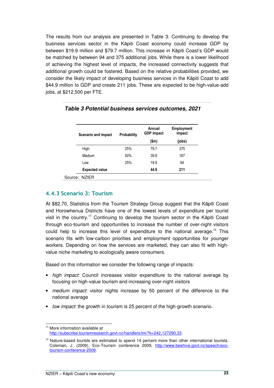The results from our analysis are presented in Table 3. Continuing to develop the business services sector in the Kāpiti Coast economy could increase GDP by between \$19.9 million and \$79.7 million. This increase in Kāpiti Coast's GDP would be matched by between 94 and 375 additional jobs. While there is a lower likelihood of achieving the highest level of impacts, the increased connectivity suggests that additional growth could be fostered. Based on the relative probabilities provided, we consider the likely impact of developing business services in the Kāpiti Coast to add \$44.9 million to GDP and create 211 jobs. These are expected to be high-value-add jobs, at \$212,500 per FTE.

| Scenario and impact   | <b>Probability</b> | Annual<br><b>GDP</b> impact | Employment<br>impact |
|-----------------------|--------------------|-----------------------------|----------------------|
|                       |                    | (\$m)                       | (jobs)               |
| High                  | 25%                | 79.7                        | 375                  |
| Medium                | 50%                | 39.9                        | 187                  |
| Low                   | 25%                | 19.9                        | 94                   |
| <b>Expected value</b> |                    | 44.9                        | 211                  |
| Source: NZIER         |                    |                             |                      |

**Table 3 Potential business services outcomes, 2021** 

#### 4.4.3 Scenario 3: Tourism

At \$82.70, Statistics from the Tourism Strategy Group suggest that the Kāpiti Coast and Horowhenua Districts have one of the lowest levels of expenditure per tourist visit in the country.<sup>15</sup> Continuing to develop the tourism sector in the Kāpiti Coast through eco-tourism and opportunities to increase the number of over-night visitors could help to increase this level of expenditure to the national average.<sup>16</sup> This scenario fits with low-carbon priorities and employment opportunities for younger workers. Depending on how the services are marketed, they can also fit with highvalue niche marketing to ecologically aware consumers.

Based on this information we consider the following range of impacts:

- high impact: Council increases visitor expenditure to the national average by focusing on high-value tourism and increasing over-night visitors
- medium impact: visitor nights increase by 50 percent of the difference to the national average
- low impact: the growth in tourism is 25 percent of the high-growth scenario.

 $\overline{a}$ 

<sup>&</sup>lt;sup>15</sup> More information available at http://subscribe.tourismresearch.govt.nz/handlers/tm/?k=242,127290,33.

 $16$  Nature-based tourists are estimated to spend 14 percent more than other international tourists. Coleman, J. (2009), Eco-Tourism conference 2009, http://www.beehive.govt.nz/speech/ecotourism-conference-2009.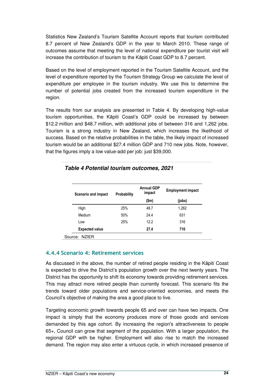Statistics New Zealand's Tourism Satellite Account reports that tourism contributed 8.7 percent of New Zealand's GDP in the year to March 2010. These range of outcomes assume that meeting the level of national expenditure per tourist visit will increase the contribution of tourism to the Kāpiti Coast GDP to 8.7 percent.

Based on the level of employment reported in the Tourism Satellite Account, and the level of expenditure reported by the Tourism Strategy Group we calculate the level of expenditure per employee in the tourism industry. We use this to determine the number of potential jobs created from the increased tourism expenditure in the region.

The results from our analysis are presented in Table 4. By developing high-value tourism opportunities, the Kāpiti Coast's GDP could be increased by between \$12.2 million and \$48.7 million, with additional jobs of between 316 and 1,262 jobs. Tourism is a strong industry in New Zealand, which increases the likelihood of success. Based on the relative probabilities in the table, the likely impact of increased tourism would be an additional \$27.4 million GDP and 710 new jobs. Note, however, that the figures imply a low value-add per job: just \$39,000.

| <b>Scenario and impact</b> | Probability | <b>Annual GDP</b><br>impact | <b>Employment impact</b> |  |
|----------------------------|-------------|-----------------------------|--------------------------|--|
|                            |             | $(\mathsf{Sm})$             | (jobs)                   |  |
| High                       | 25%         | 48.7                        | 1,262                    |  |
| Medium                     | 50%         | 24.4                        | 631                      |  |
| Low                        | 25%         | 12.2                        | 316                      |  |
| <b>Expected value</b>      |             | 27.4                        | 710                      |  |

#### **Table 4 Potential tourism outcomes, 2021**

#### 4.4.4 Scenario 4: Retirement services

As discussed in the above, the number of retired people residing in the Kāpiti Coast is expected to drive the District's population growth over the next twenty years. The District has the opportunity to shift its economy towards providing retirement services. This may attract more retired people than currently forecast. This scenario fits the trends toward older populations and service-oriented economies, and meets the Council's objective of making the area a good place to live.

Targeting economic growth towards people 65 and over can have two impacts. One impact is simply that the economy produces more of those goods and services demanded by this age cohort. By increasing the region's attractiveness to people 65+, Council can grow that segment of the population. With a larger population, the regional GDP with be higher. Employment will also rise to match the increased demand. The region may also enter a virtuous cycle, in which increased presence of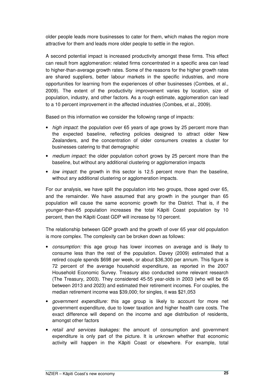older people leads more businesses to cater for them, which makes the region more attractive for them and leads more older people to settle in the region.

A second potential impact is increased productivity amongst these firms. This effect can result from agglomeration: related firms concentrated in a specific area can lead to higher-than-average growth rates. Some of the reasons for the higher growth rates are shared suppliers, better labour markets in the specific industries, and more opportunities for learning from the experiences of other businesses (Combes, et al., 2009). The extent of the productivity improvement varies by location, size of population, industry, and other factors. As a rough estimate, agglomeration can lead to a 10 percent improvement in the affected industries (Combes, et al., 2009).

Based on this information we consider the following range of impacts:

- high impact: the population over 65 years of age grows by 25 percent more than the expected baseline, reflecting policies designed to attract older New Zealanders, and the concentration of older consumers creates a cluster for businesses catering to that demographic
- medium impact: the older population cohort grows by 25 percent more than the baseline, but without any additional clustering or agglomeration impacts
- low impact: the growth in this sector is 12.5 percent more than the baseline, without any additional clustering or agglomeration impacts.

For our analysis, we have split the population into two groups, those aged over 65, and the remainder. We have assumed that any growth in the younger than 65 population will cause the same economic growth for the District. That is, if the younger-than-65 population increases the total Kāpiti Coast population by 10 percent, then the Kāpiti Coast GDP will increase by 10 percent.

The relationship between GDP growth and the growth of over 65 year old population is more complex. The complexity can be broken down as follows:

- consumption: this age group has lower incomes on average and is likely to consume less than the rest of the population. Davey (2009) estimated that a retired couple spends \$698 per week, or about \$36,300 per annum. This figure is 72 percent of the average household expenditure, as reported in the 2007 Household Economic Survey. Treasury also conducted some relevant research (The Treasury, 2003). They considered 45-55 year-olds in 2003 (who will be 65 between 2013 and 2023) and estimated their retirement incomes. For couples, the median retirement income was \$39,000; for singles, it was \$21,053
- government expenditure: this age group is likely to account for more net government expenditure, due to lower taxation and higher health care costs. The exact difference will depend on the income and age distribution of residents, amongst other factors
- retail and services leakages: the amount of consumption and government expenditure is only part of the picture. It is unknown whether that economic activity will happen in the Kāpiti Coast or elsewhere. For example, total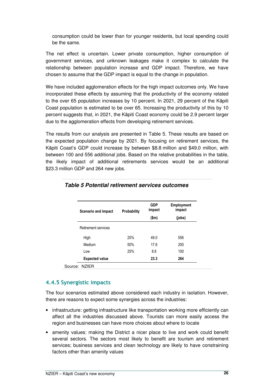consumption could be lower than for younger residents, but local spending could be the same.

The net effect is uncertain. Lower private consumption, higher consumption of government services, and unknown leakages make it complex to calculate the relationship between population increase and GDP impact. Therefore, we have chosen to assume that the GDP impact is equal to the change in population.

We have included agglomeration effects for the high impact outcomes only. We have incorporated these effects by assuming that the productivity of the economy related to the over 65 population increases by 10 percent. In 2021, 29 percent of the Kāpiti Coast population is estimated to be over 65. Increasing the productivity of this by 10 percent suggests that, in 2021, the Kāpiti Coast economy could be 2.9 percent larger due to the agglomeration effects from developing retirement services.

The results from our analysis are presented in Table 5. These results are based on the expected population change by 2021. By focusing on retirement services, the Kāpiti Coast's GDP could increase by between \$8.8 million and \$49.0 million, with between 100 and 556 additional jobs. Based on the relative probabilities in the table, the likely impact of additional retirements services would be an additional \$23.3 million GDP and 264 new jobs.

| Scenario and impact   | <b>Probability</b> | <b>GDP</b><br>impact | <b>Employment</b><br>impact |
|-----------------------|--------------------|----------------------|-----------------------------|
|                       |                    | \$m\$                | (jobs)                      |
| Retirement services   |                    |                      |                             |
| High                  | 25%                | 49.0                 | 556                         |
| Medium                | 50%                | 17.6                 | 200                         |
| Low                   | 25%                | 8.8                  | 100                         |
| <b>Expected value</b> |                    | 23.3                 | 264                         |

#### **Table 5 Potential retirement services outcomes**

#### 4.4.5 Synergistic impacts

The four scenarios estimated above considered each industry in isolation. However, there are reasons to expect some synergies across the industries:

- infrastructure: getting infrastructure like transportation working more efficiently can affect all the industries discussed above. Tourists can more easily access the region and businesses can have more choices about where to locate
- amenity values: making the District a nicer place to live and work could benefit several sectors. The sectors most likely to benefit are tourism and retirement services; business services and clean technology are likely to have constraining factors other than amenity values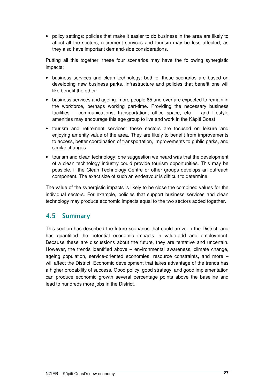• policy settings: policies that make it easier to do business in the area are likely to affect all the sectors; retirement services and tourism may be less affected, as they also have important demand-side considerations.

Putting all this together, these four scenarios may have the following synergistic impacts:

- business services and clean technology: both of these scenarios are based on developing new business parks. Infrastructure and policies that benefit one will like benefit the other
- business services and ageing: more people 65 and over are expected to remain in the workforce, perhaps working part-time. Providing the necessary business facilities – communications, transportation, office space, etc. – and lifestyle amenities may encourage this age group to live and work in the Kāpiti Coast
- tourism and retirement services: these sectors are focused on leisure and enjoying amenity value of the area. They are likely to benefit from improvements to access, better coordination of transportation, improvements to public parks, and similar changes
- tourism and clean technology: one suggestion we heard was that the development of a clean technology industry could provide tourism opportunities. This may be possible, if the Clean Technology Centre or other groups develops an outreach component. The exact size of such an endeavour is difficult to determine.

The value of the synergistic impacts is likely to be close the combined values for the individual sectors. For example, policies that support business services and clean technology may produce economic impacts equal to the two sectors added together.

## 4.5 Summary

This section has described the future scenarios that could arrive in the District, and has quantified the potential economic impacts in value-add and employment. Because these are discussions about the future, they are tentative and uncertain. However, the trends identified above – environmental awareness, climate change, ageing population, service-oriented economies, resource constraints, and more – will affect the District. Economic development that takes advantage of the trends has a higher probability of success. Good policy, good strategy, and good implementation can produce economic growth several percentage points above the baseline and lead to hundreds more jobs in the District.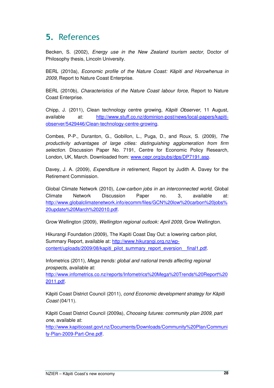## 5. References

Becken, S. (2002), Energy use in the New Zealand tourism sector, Doctor of Philosophy thesis, Lincoln University.

BERL (2010a), Economic profile of the Nature Coast: Kāpiti and Horowhenua in 2009, Report to Nature Coast Enterprise.

BERL (2010b), Characteristics of the Nature Coast labour force, Report to Nature Coast Enterprise.

Chipp, J. (2011), Clean technology centre growing, Kāpiti Observer, 11 August, available at: http://www.stuff.co.nz/dominion-post/news/local-papers/kapitiobserver/5429446/Clean-technology-centre-growing.

Combes, P-P., Duranton, G., Gobillon, L., Puga, D., and Roux, S. (2009), The productivity advantages of large cities: distinguishing agglomeration from firm selection. Discussion Paper No. 7191, Centre for Economic Policy Research, London, UK, March. Downloaded from: www.cepr.org/pubs/dps/DP7191.asp.

Davey, J. A. (2009), *Expenditure in retirement*. Report by Judith A. Davey for the Retirement Commission.

Global Climate Network (2010), Low-carbon jobs in an interconnected world, Global Climate Network Discussion Paper no. 3, available at: http://www.globalclimatenetwork.info/ecomm/files/GCN%20low%20carbon%20jobs% 20update%20March%202010.pdf.

Grow Wellington (2009), Wellington regional outlook: April 2009, Grow Wellington.

Hikurangi Foundation (2009), The Kapiti Coast Day Out: a lowering carbon pilot, Summary Report, available at: http://www.hikurangi.org.nz/wpcontent/uploads/2009/08/kapiti\_pilot\_summary\_report\_eversion\_final1.pdf.

Infometrics (2011), Mega trends: global and national trends affecting regional prospects, available at:

http://www.infometrics.co.nz/reports/Infometrics%20Mega%20Trends%20Report%20 2011.pdf.

Kāpiti Coast District Council (2011), cond Economic development strategy for Kāpiti Coast (04/11).

Kāpiti Coast District Council (2009a), Choosing futures: community plan 2009, part one, available at:

http://www.kapiticoast.govt.nz/Documents/Downloads/Community%20Plan/Communi ty-Plan-2009-Part-One.pdf.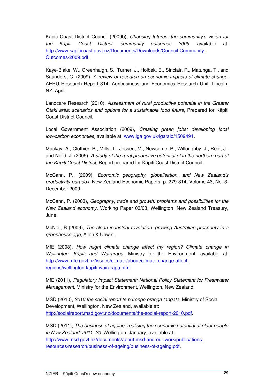Kāpiti Coast District Council (2009b), Choosing futures: the community's vision for the Kāpiti Coast District, community outcomes 2009, available at: http://www.kapiticoast.govt.nz/Documents/Downloads/Council-Community-Outcomes-2009.pdf.

Kaye-Blake, W., Greenhalgh, S., Turner, J., Holbek, E., Sinclair, R., Matunga, T., and Saunders, C. (2009), A review of research on economic impacts of climate change. AERU Research Report 314. Agribusiness and Economics Research Unit: Lincoln, NZ, April.

Landcare Research (2010), Assessment of rural productive potential in the Greater Ōtaki area: scenarios and options for a sustainable food future, Prepared for Kāpiti Coast District Council.

Local Government Association (2009), Creating green jobs: developing local low-carbon economies, available at: www.lga.gov.uk/lga/aio/1509491.

Mackay, A., Clothier, B., Mills, T., Jessen, M., Newsome, P., Willoughby, J., Reid, J., and Neild, J. (2005), A study of the rural productive potential of in the northern part of the Kāpiti Coast District, Report prepared for Kāpiti Coast District Council.

McCann, P., (2009), Economic geography, globalisation, and New Zealand's productivity paradox, New Zealand Economic Papers, p. 279-314, Volume 43, No. 3, December 2009.

McCann, P. (2003), Geography, trade and growth: problems and possibilities for the New Zealand economy. Working Paper 03/03, Wellington: New Zealand Treasury, June.

McNeil, B (2009), The clean industrial revolution: growing Australian prosperity in a greenhouse age, Allen & Unwin.

MfE (2008), How might climate change affect my region? Climate change in Wellington, Kāpiti and Wairarapa, Ministry for the Environment, available at: http://www.mfe.govt.nz/issues/climate/about/climate-change-affectregions/wellington-kapiti-wairarapa.html.

MfE (2011), Regulatory Impact Statement: National Policy Statement for Freshwater Management, Ministry for the Environment, Wellington, New Zealand.

MSD (2010), 2010 the social report te pūrongo oranga tangata, Ministry of Social Development, Wellington, New Zealand, available at: http://socialreport.msd.govt.nz/documents/the-social-report-2010.pdf.

MSD (2011), The business of ageing: realising the economic potential of older people in New Zealand: 2011–20. Wellington, January, available at: http://www.msd.govt.nz/documents/about-msd-and-our-work/publicationsresources/research/business-of-ageing/business-of-ageing.pdf.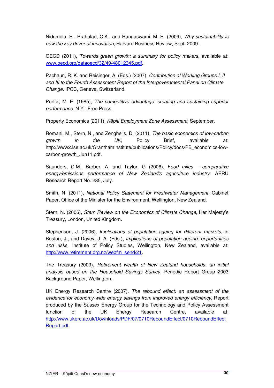Nidumolu, R., Prahalad, C.K., and Rangaswami, M. R. (2009), Why sustainability is now the key driver of innovation, Harvard Business Review, Sept. 2009.

OECD (2011), Towards green growth: a summary for policy makers, available at: www.oecd.org/dataoecd/32/49/48012345.pdf.

Pachauri, R. K. and Reisinger, A. (Eds.) (2007), Contribution of Working Groups I, II and III to the Fourth Assessment Report of the Intergovernmental Panel on Climate Change. IPCC, Geneva, Switzerland.

Porter, M. E. (1985), The competitive advantage: creating and sustaining superior performance. N.Y.: Free Press.

Property Economics (2011), Kāpiti Employment Zone Assessment, September.

Romani, M., Stern, N., and Zenghelis, D. (2011), The basic economics of low-carbon growth in the UK, Policy Brief, available at: http://www2.lse.ac.uk/GranthamInstitute/publications/Policy/docs/PB\_economics-lowcarbon-growth\_Jun11.pdf.

Saunders, C.M., Barber, A. and Taylor, G (2006), Food miles – comparative energy/emissions performance of New Zealand's agriculture industry. AERU Research Report No. 285, July.

Smith, N. (2011), National Policy Statement for Freshwater Management, Cabinet Paper, Office of the Minister for the Environment, Wellington, New Zealand.

Stern, N. (2006), Stern Review on the Economics of Climate Change, Her Majesty's Treasury, London, United Kingdom.

Stephenson, J. (2006), Implications of population ageing for different markets, in Boston, J., and Davey, J. A. (Eds.), Implications of population ageing: opportunities and risks, Institute of Policy Studies, Wellington, New Zealand, available at: http://www.retirement.org.nz/webfm\_send/21.

The Treasury (2003), Retirement wealth of New Zealand households: an initial analysis based on the Household Savings Survey, Periodic Report Group 2003 Background Paper, Wellington.

UK Energy Research Centre (2007), The rebound effect: an assessment of the evidence for economy-wide energy savings from improved energy efficiency, Report produced by the Sussex Energy Group for the Technology and Policy Assessment function of the UK Energy Research Centre, available at: http://www.ukerc.ac.uk/Downloads/PDF/07/0710ReboundEffect/0710ReboundEffect Report.pdf.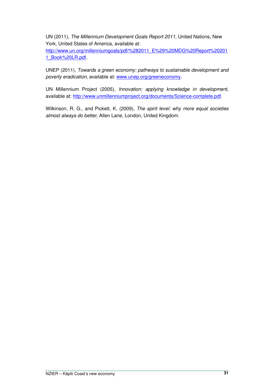UN (2011), The Millennium Development Goals Report 2011, United Nations, New York, United States of America, available at:

http://www.un.org/millenniumgoals/pdf/%282011\_E%29%20MDG%20Report%20201 1\_Book%20LR.pdf.

UNEP (2011), Towards a green economy: pathways to sustainable development and poverty eradication, available at: www.unep.org/greeneconomy.

UN Millennium Project (2005), Innovation: applying knowledge in development, available at: http://www.unmillenniumproject.org/documents/Science-complete.pdf.

Wilkinson, R. G., and Pickett, K. (2009), The spirit level: why more equal societies almost always do better, Allen Lane, London, United Kingdom.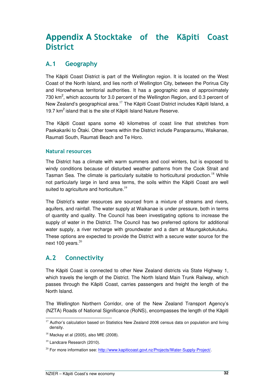## **Appendix A** Stocktake of the Kāpiti Coast **District**

## A.1 Geography

The Kāpiti Coast District is part of the Wellington region. It is located on the West Coast of the North Island, and lies north of Wellington City, between the Porirua City and Horowhenua territorial authorities. It has a geographic area of approximately 730  $km<sup>2</sup>$ , which accounts for 3.0 percent of the Wellington Region, and 0.3 percent of New Zealand's geographical area.<sup>17</sup> The Kāpiti Coast District includes Kāpiti Island, a 19.7  $km^2$  island that is the site of Kapiti Island Nature Reserve.

The Kāpiti Coast spans some 40 kilometres of coast line that stretches from Paekakariki to Ōtaki. Other towns within the District include Paraparaumu, Waikanae, Raumati South, Raumati Beach and Te Horo.

#### Natural resources

The District has a climate with warm summers and cool winters, but is exposed to windy conditions because of disturbed weather patterns from the Cook Strait and Tasman Sea. The climate is particularly suitable to horticultural production.<sup>18</sup> While not particularly large in land area terms, the soils within the Kāpiti Coast are well suited to agriculture and horticulture. $19$ 

The District's water resources are sourced from a mixture of streams and rivers, aquifers, and rainfall. The water supply at Waikanae is under pressure, both in terms of quantity and quality. The Council has been investigating options to increase the supply of water in the District. The Council has two preferred options for additional water supply, a river recharge with groundwater and a dam at Maungakotukutuku. These options are expected to provide the District with a secure water source for the next 100 years. $20$ 

## A.2 Connectivity

The Kāpiti Coast is connected to other New Zealand districts via State Highway 1, which travels the length of the District. The North Island Main Trunk Railway, which passes through the Kāpiti Coast, carries passengers and freight the length of the North Island.

The Wellington Northern Corridor, one of the New Zealand Transport Agency's (NZTA) Roads of National Significance (RoNS), encompasses the length of the Kāpiti

 $\overline{a}$ <sup>17</sup> Author's calculation based on Statistics New Zealand 2006 census data on population and living density.

 $18$  Mackay et al (2005), also MfE (2008).

<sup>&</sup>lt;sup>19</sup> Landcare Research (2010).

<sup>&</sup>lt;sup>20</sup> For more information see: http://www.kapiticoast.govt.nz/Projects/Water-Supply-Project/.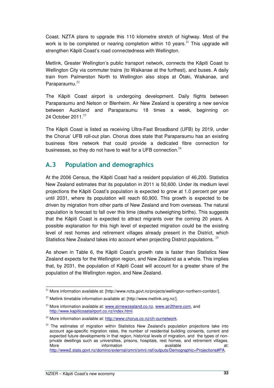Coast. NZTA plans to upgrade this 110 kilometre stretch of highway. Most of the work is to be completed or nearing completion within 10 years. $^{21}$  This upgrade will strengthen Kāpiti Coast's road connectedness with Wellington.

Metlink, Greater Wellington's public transport network, connects the Kāpiti Coast to Wellington City via commuter trains (to Waikanae at the furthest), and buses. A daily train from Palmerston North to Wellington also stops at Ōtaki, Waikanae, and Paraparaumu.<sup>22</sup>

The Kāpiti Coast airport is undergoing development. Daily flights between Paraparaumu and Nelson or Blenheim. Air New Zealand is operating a new service between Auckland and Paraparaumu 18 times a week, beginning on 24 October 2011<sup>23</sup>

The Kāpiti Coast is listed as receiving Ultra-Fast Broadband (UFB) by 2019, under the Chorus' UFB roll-out plan. Chorus does state that Paraparaumu has an existing business fibre network that could provide a dedicated fibre connection for businesses, so they do not have to wait for a UFB connection. $24$ 

## A.3 Population and demographics

At the 2006 Census, the Kāpiti Coast had a resident population of 46,200. Statistics New Zealand estimates that its population in 2011 is 50,600. Under its medium level projections the Kāpiti Coast's population is expected to grow at 1.0 percent per year until 2031, where its population will reach 60,900. This growth is expected to be driven by migration from other parts of New Zealand and from overseas. The natural population is forecast to fall over this time (deaths outweighing births). This suggests that the Kāpiti Coast is expected to attract migrants over the coming 20 years. A possible explanation for this high level of expected migration could be the existing level of rest homes and retirement villages already present in the District, which Statistics New Zealand takes into account when projecting District populations.  $25$ 

As shown in Table 6, the Kāpiti Coast's growth rate is faster than Statistics New Zealand expects for the Wellington region, and New Zealand as a whole. This implies that, by 2031, the population of Kāpiti Coast will account for a greater share of the population of the Wellington region, and New Zealand.

  $21$  More information available at: [http://www.nzta.govt.nz/projects/wellington-northern-corridor/].

 $^{22}$  Metlink timetable information available at: [http://www.metlink.org.nz/].

 $23$  More information available at: www.airnewzealand.co.nz, www.air2there.com, and http://www.kapiticoastairport.co.nz/index.html

<sup>&</sup>lt;sup>24</sup> More information available at: http://www.chorus.co.nz/ch-ournetwork.

 $25$  The estimates of migration within Statistics New Zealand's population projections take into account age-specific migration rates, the number of residential building consents, current and expected future developments in that region, historical levels of migration, and the types of nonprivate dwellings such as universities, prisons, hospitals, rest homes, and retirement villages.<br>More available at: More information available at: the matrix of the set of the set of the set of the set of the set of the set of t http://www2.stats.govt.nz/domino/external/omni/omni.nsf/outputs/Demographic+Projections#PA.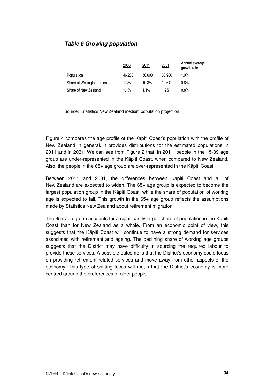#### **Table 6 Growing population**

|                            | 2006   | 2011   | 2031   | Annual average<br>growth rate |
|----------------------------|--------|--------|--------|-------------------------------|
| Population                 | 46.200 | 50.600 | 60.900 | $1.0\%$                       |
| Share of Wellington region | 1.3%   | 10.3%  | 10.6%  | 0.6%                          |
| Share of New Zealand       | 1.1%   | 1.1%   | 1 2%   | 0.8%                          |

Source: Statistics New Zealand medium population projection

Figure 4 compares the age profile of the Kāpiti Coast's population with the profile of New Zealand in general. It provides distributions for the estimated populations in 2011 and in 2031. We can see from Figure 2 that, in 2011, people in the 15-39 age group are under-represented in the Kāpiti Coast, when compared to New Zealand. Also, the people in the 65+ age group are over-represented in the Kāpiti Coast.

Between 2011 and 2031, the differences between Kāpiti Coast and all of New Zealand are expected to widen. The 65+ age group is expected to become the largest population group in the Kāpiti Coast, while the share of population of working age is expected to fall. This growth in the 65+ age group reflects the assumptions made by Statistics New Zealand about retirement migration.

The 65+ age group accounts for a significantly larger share of population in the Kāpiti Coast than for New Zealand as a whole. From an economic point of view, this suggests that the Kāpiti Coast will continue to have a strong demand for services associated with retirement and ageing. The declining share of working age groups suggests that the District may have difficulty in sourcing the required labour to provide these services. A possible outcome is that the District's economy could focus on providing retirement related services and move away from other aspects of the economy. This type of shifting focus will mean that the District's economy is more centred around the preferences of older people.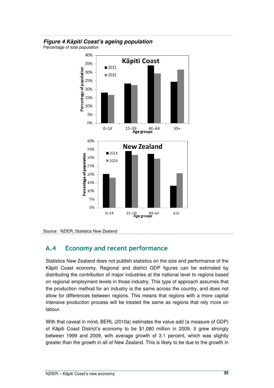#### **Figure 4 K**ā**piti Coast's ageing population**

Percentage of total population



Source: NZIER, Statistics New Zealand

## A.4 Economy and recent performance

Statistics New Zealand does not publish statistics on the size and performance of the Kāpiti Coast economy. Regional and district GDP figures can be estimated by distributing the contribution of major industries at the national level to regions based on regional employment levels in those industry. This type of approach assumes that the production method for an industry is the same across the country, and does not allow for differences between regions. This means that regions with a more capital intensive production process will be treated the same as regions that rely more on labour.

With that caveat in mind, BERL (2010a) estimates the value add (a measure of GDP) of Kāpiti Coast District's economy to be \$1,080 million in 2009. It grew strongly between 1999 and 2009, with average growth of 3.1 percent, which was slightly greater than the growth in all of New Zealand. This is likely to be due to the growth in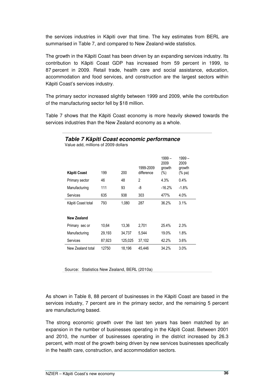the services industries in Kāpiti over that time. The key estimates from BERL are summarised in Table 7, and compared to New Zealand-wide statistics.

The growth in the Kāpiti Coast has been driven by an expanding services industry. Its contribution to Kāpiti Coast GDP has increased from 59 percent in 1999, to 87 percent in 2009. Retail trade, health care and social assistance, education, accommodation and food services, and construction are the largest sectors within Kāpiti Coast's services industry.

The primary sector increased slightly between 1999 and 2009, while the contribution of the manufacturing sector fell by \$18 million.

Table 7 shows that the Kāpiti Coast economy is more heavily skewed towards the services industries than the New Zealand economy as a whole.

**Table 7 K**ā**piti Coast economic performance** 

| Kāpiti Coast       | 199    | 200     | 1999-2009<br>difference | $1999 -$<br>2009<br>growth<br>(%) | $1999 -$<br>2009<br>growth<br>(% pa) |
|--------------------|--------|---------|-------------------------|-----------------------------------|--------------------------------------|
| Primary sector     | 46     | 48      | $\overline{2}$          | 4.3%                              | 0.4%                                 |
| Manufacturing      | 111    | 93      | -8                      | $-16.2%$                          | $-1.8%$                              |
| Services           | 635    | 938     | 303                     | 477%                              | 4.0%                                 |
| Kāpiti Coast total | 793    | 1.080   | 287                     | 36.2%                             | 3.1%                                 |
| New Zealand        |        |         |                         |                                   |                                      |
| Primary sec or     | 10,64  | 13.36   | 2,701                   | 25.4%                             | 2.3%                                 |
| Manufacturing      | 29,193 | 34,737  | 5,544                   | 19.0%                             | 1.8%                                 |
| Services           | 87,923 | 125,025 | 37,102                  | 42.2%                             | 3.6%                                 |
| New Zealand total  | 12750  | 18,196  | 45.446                  | 34.2%                             | 3.0%                                 |

Value add, millions of 2009 dollars

Source: Statistics New Zealand, BERL (2010a)

As shown in Table 8, 88 percent of businesses in the Kāpiti Coast are based in the services industry, 7 percent are in the primary sector, and the remaining 5 percent are manufacturing based.

The strong economic growth over the last ten years has been matched by an expansion in the number of businesses operating in the Kāpiti Coast. Between 2001 and 2010, the number of businesses operating in the district increased by 26.3 percent, with most of the growth being driven by new services businesses specifically in the health care, construction, and accommodation sectors.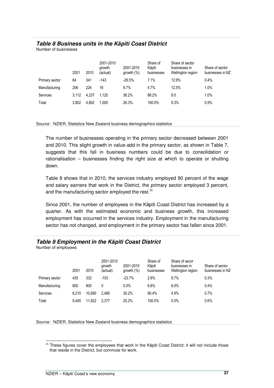#### **Table 8 Business units in the K**ā**piti Coast District**

Number of businesses

|                | 2001  | 2010  | 2001-2010<br>growth<br>(actual) | 2001-2010<br>growth $(\%)$ | Share of<br>Kāpiti<br>businesses | Share of sector<br>businesses in<br>Wellington region | Share of sector<br>businesses in NZ |
|----------------|-------|-------|---------------------------------|----------------------------|----------------------------------|-------------------------------------------------------|-------------------------------------|
| Primary sector | 84    | 341   | $-143$                          | $-29.5%$                   | 7.1%                             | 12.9%                                                 | 0.4%                                |
| Manufacturing  | 206   | 224   | 18                              | 8.7%                       | 4.7%                             | 12.5%                                                 | 1.0%                                |
| Services       | 3.112 | 4.237 | 1.125                           | 36.2%                      | 88.2%                            | 9.0                                                   | 1.0%                                |
| Total          | 3.802 | 4.802 | 1.000                           | 26.3%                      | 100.0%                           | 9.3%                                                  | 0.9%                                |

Source: NZIER, Statistics New Zealand business demographics statistics

The number of businesses operating in the primary sector decreased between 2001 and 2010. This slight growth in value-add in the primary sector, as shown in Table 7, suggests that this fall in business numbers could be due to consolidation or rationalisation – businesses finding the right size at which to operate or shutting down.

Table 9 shows that in 2010, the services industry employed 90 percent of the wage and salary earners that work in the District, the primary sector employed 3 percent, and the manufacturing sector employed the rest. $26$ 

Since 2001, the number of employees in the Kāpiti Coast District has increased by a quarter. As with the estimated economic and business growth, this increased employment has occurred in the services industry. Employment in the manufacturing sector has not changed, and employment in the primary sector has fallen since 2001.

#### **Table 9 Employment in the K**ā**piti Coast District**

Number of employees

|                | 2001  | 2010   | 2001-2010<br>arowth<br>(actual) | 2001-2010<br>qrowth (%) | Share of<br>Kāpiti<br>businesses | Share of secor<br>businesses in<br>Wellington region | Share of sector<br>businesses in NZ |
|----------------|-------|--------|---------------------------------|-------------------------|----------------------------------|------------------------------------------------------|-------------------------------------|
| Primary sector | 435   | 332    | $-103$                          | $-23.7%$                | 2.8%                             | 9.7%                                                 | 0.3%                                |
| Manufacturing  | 800   | 800    | 0                               | $0.0\%$                 | 6.8%                             | 6.0%                                                 | 0.4%                                |
| Services       | 8.210 | 10.690 | 2.480                           | 30.2%                   | 90.4%                            | 4.9%                                                 | 0.7%                                |
| Total          | 9.445 | 11.822 | 2.377                           | 25.2%                   | 100.0%                           | 5.0%                                                 | 0.6%                                |

Source: NZIER, Statistics New Zealand business demographics statistics

 $\overline{a}$  $26$  These figures cover the employees that work in the Kāpiti Coast District; it will not include those that reside in the District, but commute for work.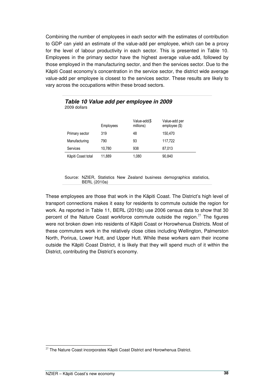Combining the number of employees in each sector with the estimates of contribution to GDP can yield an estimate of the value-add per employee, which can be a proxy for the level of labour productivity in each sector. This is presented in Table 10. Employees in the primary sector have the highest average value-add, followed by those employed in the manufacturing sector, and then the services sector. Due to the Kāpiti Coast economy's concentration in the service sector, the district wide average value-add per employee is closest to the services sector. These results are likely to vary across the occupations within these broad sectors.

|                    | Employees | Value-add(\$<br>millions) | Value-add per<br>employee $(\$)$ |
|--------------------|-----------|---------------------------|----------------------------------|
| Primary sector     | 319       | 48                        | 150,470                          |
| Manufacturing      | 790       | 93                        | 117,722                          |
| Services           | 10.780    | 938                       | 87,013                           |
| Kāpiti Coast total | 11,889    | 1,080                     | 90,840                           |

#### **Table 10 Value add per employee in 2009**  2009 dollars

Source: NZIER, Statistics New Zealand business demographics statistics, BERL (2010a)

These employees are those that work in the Kāpiti Coast. The District's high level of transport connections makes it easy for residents to commute outside the region for work. As reported in Table 11, BERL (2010b) use 2006 census data to show that 30 percent of the Nature Coast workforce commute outside the region.<sup>27</sup> The figures were not broken down into residents of Kāpiti Coast or Horowhenua Districts. Most of these commuters work in the relatively close cities including Wellington, Palmerston North, Porirua, Lower Hutt, and Upper Hutt. While these workers earn their income outside the Kāpiti Coast District, it is likely that they will spend much of it within the District, contributing the District's economy.

 $\overline{a}$  $27$  The Nature Coast incorporates Kāpiti Coast District and Horowhenua District.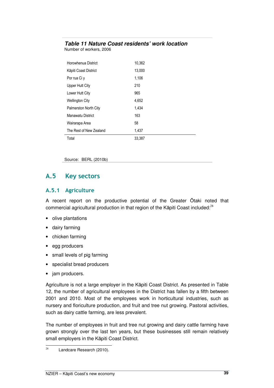#### **Table 11 Nature Coast residents' work location**

Number of workers, 2006

| Horowhenua District     | 10,362 |
|-------------------------|--------|
| Kāpiti Coast District   | 13,000 |
| Por rua Ci y            | 1,106  |
| Upper Hutt City         | 210    |
| Lower Hutt City         | 965    |
| <b>Wellington City</b>  | 4,652  |
| Palmerston North City   | 1,434  |
| Manawatu District       | 163    |
| Wairarapa Area          | 58     |
| The Rest of New Zealand | 1,437  |
| Total                   | 33,387 |

Source: BERL (2010b)

### A.5 Key sectors

#### A.5.1 Agriculture

A recent report on the productive potential of the Greater Ōtaki noted that commercial agricultural production in that region of the Kāpiti Coast included.<sup>28</sup>

- olive plantations
- dairy farming
- chicken farming
- egg producers
- small levels of pig farming
- specialist bread producers
- jam producers.

Agriculture is not a large employer in the Kāpiti Coast District. As presented in Table 12, the number of agricultural employees in the District has fallen by a fifth between 2001 and 2010. Most of the employees work in horticultural industries, such as nursery and floriculture production, and fruit and tree nut growing. Pastoral activities, such as dairy cattle farming, are less prevalent.

The number of employees in fruit and tree nut growing and dairy cattle farming have grown strongly over the last ten years, but these businesses still remain relatively small employers in the Kāpiti Coast District.

 $\overline{28}$ Landcare Research (2010).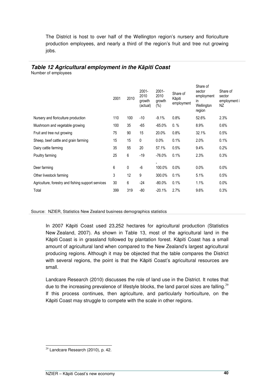The District is host to over half of the Wellington region's nursery and floriculture production employees, and nearly a third of the region's fruit and tree nut growing jobs.

#### **Table 12 Agricultural employment in the K**ā**piti Coast**

Number of employees

|                                                    | 2001 | 2010 | $2001 -$<br>2010<br>growth<br>(actual) | $2001 -$<br>2010<br>growth<br>(%) | Share of<br>Kāpiti<br>employment | Share of<br>sector<br>employment<br>in.<br>Wellington<br>region | Share of<br>sector<br>employment i<br>ΝZ |
|----------------------------------------------------|------|------|----------------------------------------|-----------------------------------|----------------------------------|-----------------------------------------------------------------|------------------------------------------|
| Nursery and floriculture production                | 110  | 100  | $-10$                                  | $-9.1%$                           | 0.8%                             | 52.6%                                                           | 2.3%                                     |
| Mushroom and vegetable growing                     | 100  | 35   | $-65$                                  | $-65.0\%$                         | $0. \%$                          | 8.9%                                                            | 0.6%                                     |
| Fruit and tree nut growing                         | 75   | 90   | 15                                     | 20.0%                             | 0.8%                             | 32.1%                                                           | 0.5%                                     |
| Sheep, beef cattle and grain farming               | 15   | 15   | 0                                      | 0.0%                              | 0.1%                             | 2.0%                                                            | 0.1%                                     |
| Dairy cattle farming                               | 35   | 55   | 20                                     | 57.1%                             | 0.5%                             | 9.4%                                                            | 0.2%                                     |
| Poultry farming                                    | 25   | 6    | $-19$                                  | $-76.0\%$                         | 0.1%                             | 2.3%                                                            | 0.3%                                     |
|                                                    |      |      |                                        | ۰.                                |                                  |                                                                 |                                          |
| Deer farming                                       | 6    | 0    | $-6$                                   | 100.0%                            | 0.0%                             | 0.0%                                                            | $0.0\%$                                  |
| Other livestock farming                            | 3    | 12   | 9                                      | 300.0%                            | 0.1%                             | 5.1%                                                            | 0.5%                                     |
| Agriculture, forestry and fishing support services | 30   | 6    | $-24$                                  | $-80.0\%$                         | 0.1%                             | 1.1%                                                            | $0.0\%$                                  |
| Total                                              | 399  | 319  | $-80$                                  | $-20.1%$                          | 2.7%                             | 9.6%                                                            | 0.3%                                     |

Source: NZIER, Statistics New Zealand business demographics statistics

In 2007 Kāpiti Coast used 23,252 hectares for agricultural production (Statistics New Zealand, 2007). As shown in Table 13, most of the agricultural land in the Kāpiti Coast is in grassland followed by plantation forest. Kāpiti Coast has a small amount of agricultural land when compared to the New Zealand's largest agricultural producing regions. Although it may be objected that the table compares the District with several regions, the point is that the Kāpiti Coast's agricultural resources are small.

Landcare Research (2010) discusses the role of land use in the District. It notes that due to the increasing prevalence of lifestyle blocks, the land parcel sizes are falling.<sup>29</sup> If this process continues, then agriculture, and particularly horticulture, on the Kāpiti Coast may struggle to compete with the scale in other regions.

 $\overline{a}$  $29$  Landcare Research (2010), p. 42.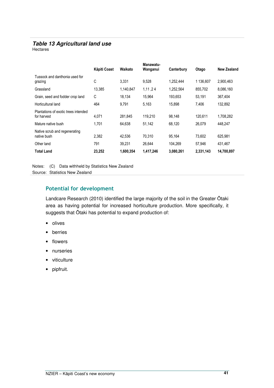#### **Table 13 Agricultural land use**

Hectares

|                                                     | <b>Käpiti Coast</b> | Waikato   | Manawatu-<br>Wanganui | Canterbury | Otago     | New Zealand |
|-----------------------------------------------------|---------------------|-----------|-----------------------|------------|-----------|-------------|
| Tussock and danthonia used for<br>grazing           | C                   | 3.331     | 9,528                 | 1,252,444  | 1 136,607 | 2,900,463   |
| Grassland                                           | 13,385              | 1,140,847 | 1,11,24               | 1,252,564  | 855,702   | 8,086,160   |
| Grain, seed and fodder crop land                    | C                   | 18,134    | 15,964                | 193.653    | 53,191    | 367,404     |
| Horticultural land                                  | 464                 | 9.791     | 5,163                 | 15.898     | 7.406     | 132.892     |
| Plantations of exotic trees intended<br>for harvest | 4,071               | 281,845   | 119.210               | 98.148     | 120.611   | 1,708,282   |
| Mature native bush                                  | 1.701               | 64.638    | 51.142                | 68.120     | 26.079    | 448.247     |
| Native scrub and regenerating<br>native bush        | 2,382               | 42.536    | 70.310                | 95.164     | 73.602    | 625.981     |
| Other land                                          | 791                 | 39,231    | 26.644                | 104.269    | 57.946    | 431,467     |
| <b>Total Land</b>                                   | 23,252              | 1,600,354 | 1,417,246             | 3,080,261  | 2,331,143 | 14,700,897  |

Notes: (C) Data withheld by Statistics New Zealand

Source: Statistics New Zealand

#### Potential for development

Landcare Research (2010) identified the large majority of the soil in the Greater Ōtaki area as having potential for increased horticulture production. More specifically, it suggests that Ōtaki has potential to expand production of:

- olives
- berries
- flowers
- nurseries
- viticulture
- pipfruit.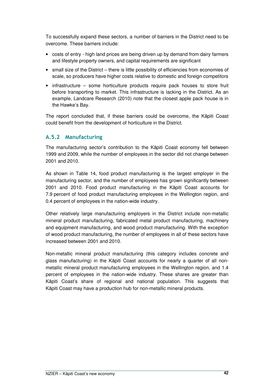To successfully expand these sectors, a number of barriers in the District need to be overcome. These barriers include:

- costs of entry high land prices are being driven up by demand from dairy farmers and lifestyle property owners, and capital requirements are significant
- small size of the District there is little possibility of efficiencies from economies of scale, so producers have higher costs relative to domestic and foreign competitors
- infrastructure some horticulture products require pack houses to store fruit before transporting to market. This infrastructure is lacking in the District. As an example, Landcare Research (2010) note that the closest apple pack house is in the Hawke's Bay.

The report concluded that, if these barriers could be overcome, the Kāpiti Coast could benefit from the development of horticulture in the District.

#### A.5.2 Manufacturing

The manufacturing sector's contribution to the Kāpiti Coast economy fell between 1999 and 2009, while the number of employees in the sector did not change between 2001 and 2010.

As shown in Table 14, food product manufacturing is the largest employer in the manufacturing sector, and the number of employees has grown significantly between 2001 and 2010. Food product manufacturing in the Kāpiti Coast accounts for 7.9 percent of food product manufacturing employees in the Wellington region, and 0.4 percent of employees in the nation-wide industry.

Other relatively large manufacturing employers in the District include non-metallic mineral product manufacturing, fabricated metal product manufacturing, machinery and equipment manufacturing, and wood product manufacturing. With the exception of wood product manufacturing, the number of employees in all of these sectors have increased between 2001 and 2010.

Non-metallic mineral product manufacturing (this category includes concrete and glass manufacturing) in the Kāpiti Coast accounts for nearly a quarter of all nonmetallic mineral product manufacturing employees in the Wellington region, and 1.4 percent of employees in the nation-wide industry. These shares are greater than Kāpiti Coast's share of regional and national population. This suggests that Kāpiti Coast may have a production hub for non-metallic mineral products.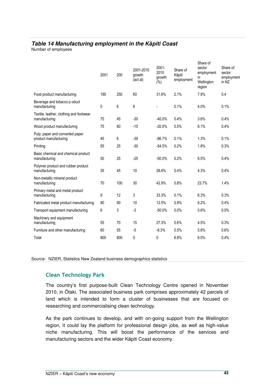#### **Table 14 Manufacturing employment in the K**ā**piti Coast**

Number of employees

|                                                          | 2001 | 200 | 2001-2010<br>growth<br>(act al) | $2001 -$<br>2010<br>growth<br>(%) | Share of<br>Kāpiti<br>employment | Share of<br>sector<br>employment<br>in<br>Wellington<br>region | Share of<br>sector<br>employment<br>in NZ |
|----------------------------------------------------------|------|-----|---------------------------------|-----------------------------------|----------------------------------|----------------------------------------------------------------|-------------------------------------------|
| Food product manufacturing                               | 190  | 250 | 60                              | 31.6%                             | 2.1%                             | 7.9%                                                           | 0.4                                       |
| Beverage and tobacco p oduct<br>manufacturing            | 0    | 6   | 6                               |                                   | 0.1%                             | 4.0%                                                           | 0.1%                                      |
| Textile, leather, clothing and footwear<br>manufacturing | 75   | 45  | $-30$                           | $-40.0%$                          | 0.4%                             | 3.6%                                                           | 0.4%                                      |
| Wood product manufacturing                               | 75   | 60  | $-15$                           | $-20.0%$                          | 0.5%                             | 6.1%                                                           | 0.4%                                      |
| Pulp, paper and converted paper<br>product manufacturing | 45   | 6   | $-39$                           | $-86.7%$                          | 0.1%                             | 1.3%                                                           | 0.1%                                      |
| Printing                                                 | 55   | 25  | $-30$                           | $-54.5%$                          | 0.2%                             | 1.8%                                                           | 0.3%                                      |
| Basic chemical and chemical product<br>manufacturing     | 50   | 25  | $-25$                           | $-50.0%$                          | 0.2%                             | 6.5%                                                           | 0.4%                                      |
| Polymer product and rubber product<br>manufacturing      | 35   | 45  | 10                              | 28.6%                             | 0.4%                             | 4.3%                                                           | 0.4%                                      |
| Non-metallic mineral product<br>manufacturing            | 70   | 100 | 30                              | 42.9%                             | 0.8%                             | 23.7%                                                          | 1.4%                                      |
| Primary metal and metal product<br>manufacturing         | 9    | 12  | 3                               | 33.3%                             | 0.1%                             | 6.3%                                                           | 0.3%                                      |
| Fabricated metal product manufacturing                   | 80   | 90  | 10                              | 12.5%                             | 0.8%                             | 6.2%                                                           | 0.4%                                      |
| Transport equipment manufacturing                        | 6    | 3   | $-3$                            | $-50.0%$                          | 0.0%                             | 0.6%                                                           | 0.0%                                      |
| Machinery and equipment<br>manufacturing                 | 55   | 70  | 15                              | 27.3%                             | 0.6%                             | 4.5%                                                           | 0.3%                                      |
| Furniture and other manufacturing                        | 60   | 55  | $-5$                            | $-8.3%$                           | 0.5%                             | 5.8%                                                           | 0.6%                                      |
| Total                                                    | 800  | 800 | 0                               | 0                                 | 6.8%                             | 6.0%                                                           | 0.4%                                      |
|                                                          |      |     |                                 |                                   |                                  |                                                                |                                           |

Source: NZIER, Statistics New Zealand business demographics statistics

#### Clean Technology Park

The country's first purpose-built Clean Technology Centre opened in November 2010, in Ōtaki. The associated business park comprises approximately 42 parcels of land which is intended to form a cluster of businesses that are focused on researching and commercialising clean technology.

As the park continues to develop, and with on-going support from the Wellington region, it could lay the platform for professional design jobs, as well as high-value niche manufacturing. This will boost the performance of the services and manufacturing sectors and the wider Kāpiti Coast economy.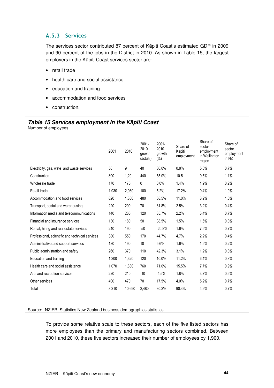#### A.5.3 Services

The services sector contributed 87 percent of Kāpiti Coast's estimated GDP in 2009 and 90 percent of the jobs in the District in 2010. As shown in Table 15, the largest employers in the Kāpiti Coast services sector are:

- retail trade
- health care and social assistance
- education and training
- accommodation and food services
- construction.

#### **Table 15 Services employment in the K**ā**piti Coast**

Number of employees

|                                                 | 2001  | 2010   | $2001 -$<br>2010<br>growth<br>(actual) | 2001-<br>2010<br>growth<br>$(\%)$ | Share of<br>Kāpiti<br>employment | Share of<br>sector<br>employment<br>in Wellington<br>region | Share of<br>sector<br>employment<br>in NZ |
|-------------------------------------------------|-------|--------|----------------------------------------|-----------------------------------|----------------------------------|-------------------------------------------------------------|-------------------------------------------|
| Electricity, gas, wate and waste services       | 50    | 9      | 40                                     | 80.0%                             | 0.8%                             | 5.0%                                                        | 0.7%                                      |
| Construction                                    | 800   | 1,20   | 440                                    | 55.0%                             | 10.5                             | 9.5%                                                        | 1.1%                                      |
| Wholesale trade                                 | 170   | 170    | 0                                      | 0.0%                              | 1.4%                             | 1.9%                                                        | 0.2%                                      |
| Retail trade                                    | 1,930 | 2,030  | 100                                    | 5.2%                              | 17.2%                            | 9.4%                                                        | 1.0%                                      |
| Accommodation and food services                 | 820   | 1,300  | 480                                    | 58.5%                             | 11.0%                            | 8.2%                                                        | 1.0%                                      |
| Transport, postal and warehousing               | 220   | 290    | 70                                     | 31.8%                             | 2.5%                             | 3.2%                                                        | 0.4%                                      |
| Information media and telecommunications        | 140   | 260    | 120                                    | 85.7%                             | 2.2%                             | 3.4%                                                        | 0.7%                                      |
| Financial and insurance services                | 130   | 180    | 50                                     | 38.5%                             | 1.5%                             | 1.6%                                                        | 0.3%                                      |
| Rental, hiring and real estate services         | 240   | 190    | $-50$                                  | $-20.8%$                          | 1.6%                             | 7.5%                                                        | 0.7%                                      |
| Professional, scientific and technical services | 380   | 550    | 170                                    | 44.7%                             | 4.7%                             | 2.2%                                                        | 0.4%                                      |
| Administrative and support services             | 180   | 190    | 10                                     | 5.6%                              | 1.6%                             | 1.5%                                                        | 0.2%                                      |
| Public administration and safety                | 260   | 370    | 110                                    | 42.3%                             | 3.1%                             | 1.2%                                                        | 0.3%                                      |
| Education and training                          | 1,200 | 1,320  | 120                                    | 10.0%                             | 11.2%                            | 6.4%                                                        | 0.8%                                      |
| Health care and social assistance               | 1,070 | 1,830  | 760                                    | 71.0%                             | 15.5%                            | 7.7%                                                        | 0.9%                                      |
| Arts and recreation services                    | 220   | 210    | $-10$                                  | $-4.5%$                           | 1.8%                             | 3.7%                                                        | 0.6%                                      |
| Other services                                  | 400   | 470    | 70                                     | 17.5%                             | 4.0%                             | 5.2%                                                        | 0.7%                                      |
| Total                                           | 8,210 | 10,690 | 2,480                                  | 30.2%                             | 90.4%                            | 4.9%                                                        | 0.7%                                      |
|                                                 |       |        |                                        |                                   |                                  |                                                             |                                           |

#### Source: NZIER, Statistics New Zealand business demographics statistics

To provide some relative scale to these sectors, each of the five listed sectors has more employees than the primary and manufacturing sectors combined. Between 2001 and 2010, these five sectors increased their number of employees by 1,900.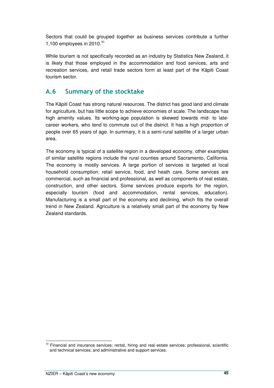Sectors that could be grouped together as business services contribute a further 1,100 employees in  $2010^{30}$ 

While tourism is not specifically recorded as an industry by Statistics New Zealand, it is likely that those employed in the accommodation and food services, arts and recreation services, and retail trade sectors form at least part of the Kāpiti Coast tourism sector.

## A.6 Summary of the stocktake

The Kāpiti Coast has strong natural resources. The district has good land and climate for agriculture, but has little scope to achieve economies of scale. The landscape has high amenity values. Its working-age population is skewed towards mid- to latecareer workers, who tend to commute out of the district. It has a high proportion of people over 65 years of age. In summary, it is a semi-rural satellite of a larger urban area.

The economy is typical of a satellite region in a developed economy, other examples of similar satellite regions include the rural counties around Sacramento, California. The economy is mostly services. A large portion of services is targeted at local household consumption: retail service, food, and heath care. Some services are commercial, such as financial and professional, as well as components of real estate, construction, and other sectors. Some services produce exports for the region, especially tourism (food and accommodation, rental services, education). Manufacturing is a small part of the economy and declining, which fits the overall trend in New Zealand. Agriculture is a relatively small part of the economy by New Zealand standards.

 $\overline{a}$  $30$  Financial and insurance services; rental, hiring and real estate services; professional, scientific and technical services; and administrative and support services.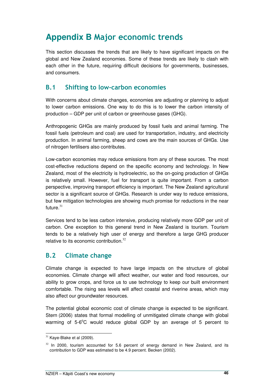## **Appendix B** Major economic trends

This section discusses the trends that are likely to have significant impacts on the global and New Zealand economies. Some of these trends are likely to clash with each other in the future, requiring difficult decisions for governments, businesses, and consumers.

### B.1 Shifting to low-carbon economies

With concerns about climate changes, economies are adjusting or planning to adjust to lower carbon emissions. One way to do this is to lower the carbon intensity of production – GDP per unit of carbon or greenhouse gases (GHG).

Anthropogenic GHGs are mainly produced by fossil fuels and animal farming. The fossil fuels (petroleum and coal) are used for transportation, industry, and electricity production. In animal farming, sheep and cows are the main sources of GHGs. Use of nitrogen fertilisers also contributes.

Low-carbon economies may reduce emissions from any of these sources. The most cost-effective reductions depend on the specific economy and technology. In New Zealand, most of the electricity is hydroelectric, so the on-going production of GHGs is relatively small. However, fuel for transport is quite important. From a carbon perspective, improving transport efficiency is important. The New Zealand agricultural sector is a significant source of GHGs. Research is under way to reduce emissions, but few mitigation technologies are showing much promise for reductions in the near future. $31$ 

Services tend to be less carbon intensive, producing relatively more GDP per unit of carbon. One exception to this general trend in New Zealand is tourism. Tourism tends to be a relatively high user of energy and therefore a large GHG producer relative to its economic contribution. $32$ 

### B.2 Climate change

Climate change is expected to have large impacts on the structure of global economies. Climate change will affect weather, our water and food resources, our ability to grow crops, and force us to use technology to keep our built environment comfortable. The rising sea levels will affect coastal and riverine areas, which may also affect our groundwater resources.

The potential global economic cost of climate change is expected to be significant. Stern (2006) states that formal modelling of unmitigated climate change with global warming of 5-6°C would reduce global GDP by an average of 5 percent to

 $\overline{a}$  $31$  Kaye-Blake et al (2009).

 $32$  In 2000, tourism accounted for 5.6 percent of energy demand in New Zealand, and its contribution to GDP was estimated to be 4.9 percent. Becken (2002).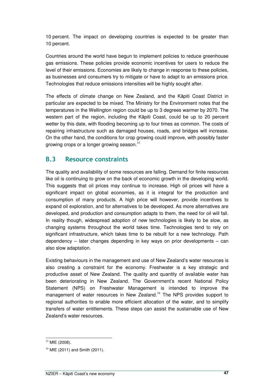10 percent. The impact on developing countries is expected to be greater than 10 percent.

Countries around the world have begun to implement policies to reduce greenhouse gas emissions. These policies provide economic incentives for users to reduce the level of their emissions. Economies are likely to change in response to these policies, as businesses and consumers try to mitigate or have to adapt to an emissions price. Technologies that reduce emissions intensities will be highly sought after.

The effects of climate change on New Zealand, and the Kāpiti Coast District in particular are expected to be mixed. The Ministry for the Environment notes that the temperatures in the Wellington region could be up to 3 degrees warmer by 2070. The western part of the region, including the Kāpiti Coast, could be up to 20 percent wetter by this date, with flooding becoming up to four times as common. The costs of repairing infrastructure such as damaged houses, roads, and bridges will increase. On the other hand, the conditions for crop growing could improve, with possibly faster growing crops or a longer growing season. $^{33}$ 

### B.3 Resource constraints

The quality and availability of some resources are falling. Demand for finite resources like oil is continuing to grow on the back of economic growth in the developing world. This suggests that oil prices may continue to increase. High oil prices will have a significant impact on global economies, as it is integral for the production and consumption of many products. A high price will however, provide incentives to expand oil exploration, and for alternatives to be developed. As more alternatives are developed, and production and consumption adapts to them, the need for oil will fall. In reality though, widespread adoption of new technologies is likely to be slow, as changing systems throughout the world takes time. Technologies tend to rely on significant infrastructure, which takes time to be rebuilt for a new technology. Path dependency – later changes depending in key ways on prior developments – can also slow adaptation.

Existing behaviours in the management and use of New Zealand's water resources is also creating a constraint for the economy. Freshwater is a key strategic and productive asset of New Zealand. The quality and quantity of available water has been deteriorating in New Zealand. The Government's recent National Policy Statement (NPS) on Freshwater Management is intended to improve the management of water resources in New Zealand.<sup>34</sup> The NPS provides support to regional authorities to enable more efficient allocation of the water, and to simplify transfers of water entitlements. These steps can assist the sustainable use of New Zealand's water resources.

 $\overline{a}$  $33$  MfE (2008).

 $34$  MfE (2011) and Smith (2011).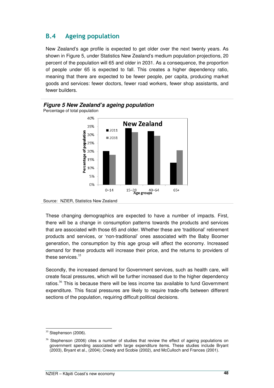## B.4 Ageing population

New Zealand's age profile is expected to get older over the next twenty years. As shown in Figure 5, under Statistics New Zealand's medium population projections, 20 percent of the population will 65 and older in 2031. As a consequence, the proportion of people under 65 is expected to fall. This creates a higher dependency ratio, meaning that there are expected to be fewer people, per capita, producing market goods and services: fewer doctors, fewer road workers, fewer shop assistants, and fewer builders.



#### **Figure 5 New Zealand's ageing population**  Percentage of total population

These changing demographics are expected to have a number of impacts. First, there will be a change in consumption patterns towards the products and services that are associated with those 65 and older. Whether these are 'traditional' retirement products and services, or 'non-traditional' ones associated with the Baby Boomer generation, the consumption by this age group will affect the economy. Increased demand for these products will increase their price, and the returns to providers of these services. $35$ 

Secondly, the increased demand for Government services, such as health care, will create fiscal pressures, which will be further increased due to the higher dependency ratios. $36$  This is because there will be less income tax available to fund Government expenditure. This fiscal pressures are likely to require trade-offs between different sections of the population, requiring difficult political decisions.

Source: NZIER, Statistics New Zealand

 $\overline{a}$  $35$  Stephenson (2006).

 $36$  Stephenson (2006) cites a number of studies that review the effect of ageing populations on government spending associated with large expenditure items. These studies include Bryant (2003), Bryant et al., (2004); Creedy and Scobie (2002), and McCulloch and Frances (2001).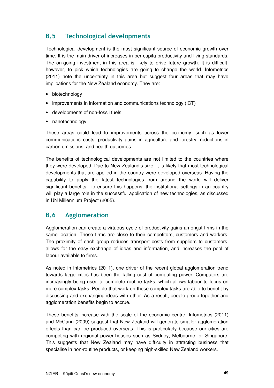## B.5 Technological developments

Technological development is the most significant source of economic growth over time. It is the main driver of increases in per-capita productivity and living standards. The on-going investment in this area is likely to drive future growth. It is difficult, however, to pick which technologies are going to change the world. Infometrics (2011) note the uncertainty in this area but suggest four areas that may have implications for the New Zealand economy. They are:

- biotechnology
- improvements in information and communications technology (ICT)
- developments of non-fossil fuels
- nanotechnology.

These areas could lead to improvements across the economy, such as lower communications costs, productivity gains in agriculture and forestry, reductions in carbon emissions, and health outcomes.

The benefits of technological developments are not limited to the countries where they were developed. Due to New Zealand's size, it is likely that most technological developments that are applied in the country were developed overseas. Having the capability to apply the latest technologies from around the world will deliver significant benefits. To ensure this happens, the institutional settings in an country will play a large role in the successful application of new technologies, as discussed in UN Millennium Project (2005).

### B.6 Agglomeration

Agglomeration can create a virtuous cycle of productivity gains amongst firms in the same location. These firms are close to their competitors, customers and workers. The proximity of each group reduces transport costs from suppliers to customers, allows for the easy exchange of ideas and information, and increases the pool of labour available to firms.

As noted in Infometrics (2011), one driver of the recent global agglomeration trend towards large cities has been the falling cost of computing power. Computers are increasingly being used to complete routine tasks, which allows labour to focus on more complex tasks. People that work on these complex tasks are able to benefit by discussing and exchanging ideas with other. As a result, people group together and agglomeration benefits begin to accrue.

These benefits increase with the scale of the economic centre. Infometrics (2011) and McCann (2009) suggest that New Zealand will generate smaller agglomeration effects than can be produced overseas. This is particularly because our cities are competing with regional power-houses such as Sydney, Melbourne, or Singapore. This suggests that New Zealand may have difficulty in attracting business that specialise in non-routine products, or keeping high-skilled New Zealand workers.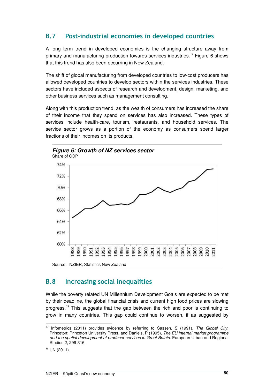## B.7 Post-industrial economies in developed countries

A long term trend in developed economies is the changing structure away from primary and manufacturing production towards services industries.<sup>37</sup> Figure 6 shows that this trend has also been occurring in New Zealand.

The shift of global manufacturing from developed countries to low-cost producers has allowed developed countries to develop sectors within the services industries. These sectors have included aspects of research and development, design, marketing, and other business services such as management consulting.

Along with this production trend, as the wealth of consumers has increased the share of their income that they spend on services has also increased. These types of services include health-care, tourism, restaurants, and household services. The service sector grows as a portion of the economy as consumers spend larger fractions of their incomes on its products.





### B.8 Increasing social inequalities

While the poverty related UN Millennium Development Goals are expected to be met by their deadline, the global financial crisis and current high food prices are slowing progress.<sup>38</sup> This suggests that the gap between the rich and poor is continuing to grow in many countries. This gap could continue to worsen, if as suggested by

 $\overline{a}$ <sup>37</sup> Infometrics (2011) provides evidence by referring to Sassen, S (1991), The Global City, Princeton: Princeton University Press, and Daniels, P (1995), The EU internal market programme and the spatial development of producer services in Great Britain, European Urban and Regional Studies 2, 299-316.

 $38$  UN (2011).